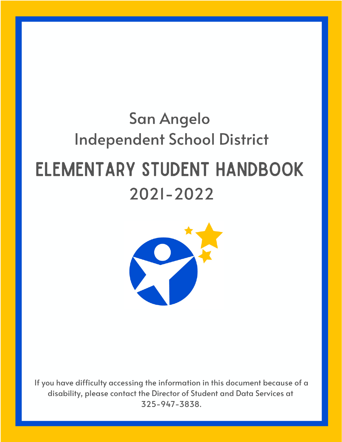# San Angelo **Independent School District ELEMENTARY STUDENT HANDBOOK**  $2021 - 2022$



If you have difficulty accessing the information in this document because of a disability, please contact the Director of Student and Data Services at 325-947-3838.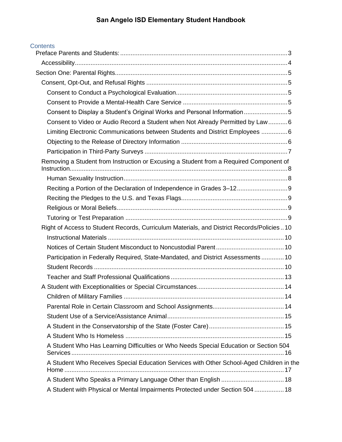| Contents |  |
|----------|--|
|          |  |

| Consent to Display a Student's Original Works and Personal Information5                   |  |
|-------------------------------------------------------------------------------------------|--|
| Consent to Video or Audio Record a Student when Not Already Permitted by Law 6            |  |
| Limiting Electronic Communications between Students and District Employees 6              |  |
|                                                                                           |  |
|                                                                                           |  |
| Removing a Student from Instruction or Excusing a Student from a Required Component of    |  |
|                                                                                           |  |
|                                                                                           |  |
|                                                                                           |  |
|                                                                                           |  |
|                                                                                           |  |
| Right of Access to Student Records, Curriculum Materials, and District Records/Policies10 |  |
|                                                                                           |  |
|                                                                                           |  |
| Participation in Federally Required, State-Mandated, and District Assessments 10          |  |
|                                                                                           |  |
|                                                                                           |  |
|                                                                                           |  |
|                                                                                           |  |
|                                                                                           |  |
|                                                                                           |  |
|                                                                                           |  |
|                                                                                           |  |
| A Student Who Has Learning Difficulties or Who Needs Special Education or Section 504     |  |
| A Student Who Receives Special Education Services with Other School-Aged Children in the  |  |
|                                                                                           |  |
| A Student with Physical or Mental Impairments Protected under Section 504  18             |  |
|                                                                                           |  |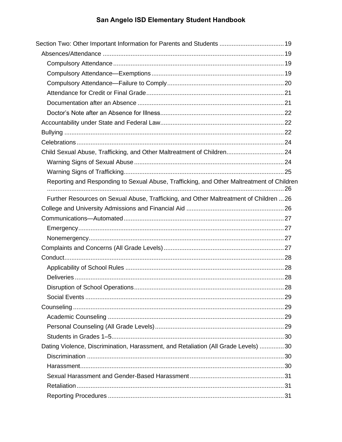| Section Two: Other Important Information for Parents and Students  19                     |  |
|-------------------------------------------------------------------------------------------|--|
|                                                                                           |  |
|                                                                                           |  |
|                                                                                           |  |
|                                                                                           |  |
|                                                                                           |  |
|                                                                                           |  |
|                                                                                           |  |
|                                                                                           |  |
|                                                                                           |  |
|                                                                                           |  |
|                                                                                           |  |
|                                                                                           |  |
|                                                                                           |  |
| Reporting and Responding to Sexual Abuse, Trafficking, and Other Maltreatment of Children |  |
| Further Resources on Sexual Abuse, Trafficking, and Other Maltreatment of Children  26    |  |
|                                                                                           |  |
|                                                                                           |  |
|                                                                                           |  |
|                                                                                           |  |
|                                                                                           |  |
|                                                                                           |  |
|                                                                                           |  |
|                                                                                           |  |
|                                                                                           |  |
|                                                                                           |  |
|                                                                                           |  |
|                                                                                           |  |
|                                                                                           |  |
|                                                                                           |  |
| Dating Violence, Discrimination, Harassment, and Retaliation (All Grade Levels) 30        |  |
|                                                                                           |  |
|                                                                                           |  |
|                                                                                           |  |
|                                                                                           |  |
|                                                                                           |  |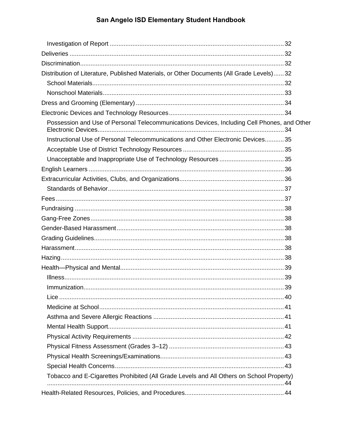| Distribution of Literature, Published Materials, or Other Documents (All Grade Levels)32    |  |
|---------------------------------------------------------------------------------------------|--|
|                                                                                             |  |
|                                                                                             |  |
|                                                                                             |  |
|                                                                                             |  |
| Possession and Use of Personal Telecommunications Devices, Including Cell Phones, and Other |  |
| Instructional Use of Personal Telecommunications and Other Electronic Devices35             |  |
|                                                                                             |  |
|                                                                                             |  |
|                                                                                             |  |
|                                                                                             |  |
|                                                                                             |  |
|                                                                                             |  |
|                                                                                             |  |
|                                                                                             |  |
|                                                                                             |  |
|                                                                                             |  |
|                                                                                             |  |
|                                                                                             |  |
|                                                                                             |  |
|                                                                                             |  |
|                                                                                             |  |
|                                                                                             |  |
|                                                                                             |  |
|                                                                                             |  |
|                                                                                             |  |
|                                                                                             |  |
|                                                                                             |  |
|                                                                                             |  |
|                                                                                             |  |
| Tobacco and E-Cigarettes Prohibited (All Grade Levels and All Others on School Property)    |  |
|                                                                                             |  |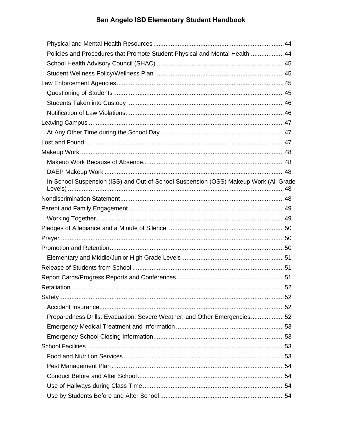| Policies and Procedures that Promote Student Physical and Mental Health 44           |  |
|--------------------------------------------------------------------------------------|--|
|                                                                                      |  |
|                                                                                      |  |
|                                                                                      |  |
|                                                                                      |  |
|                                                                                      |  |
|                                                                                      |  |
|                                                                                      |  |
|                                                                                      |  |
|                                                                                      |  |
|                                                                                      |  |
|                                                                                      |  |
|                                                                                      |  |
| In-School Suspension (ISS) and Out-of-School Suspension (OSS) Makeup Work (All Grade |  |
|                                                                                      |  |
|                                                                                      |  |
|                                                                                      |  |
|                                                                                      |  |
|                                                                                      |  |
|                                                                                      |  |
|                                                                                      |  |
|                                                                                      |  |
|                                                                                      |  |
|                                                                                      |  |
|                                                                                      |  |
|                                                                                      |  |
| Preparedness Drills: Evacuation, Severe Weather, and Other Emergencies52             |  |
|                                                                                      |  |
|                                                                                      |  |
|                                                                                      |  |
|                                                                                      |  |
|                                                                                      |  |
|                                                                                      |  |
|                                                                                      |  |
|                                                                                      |  |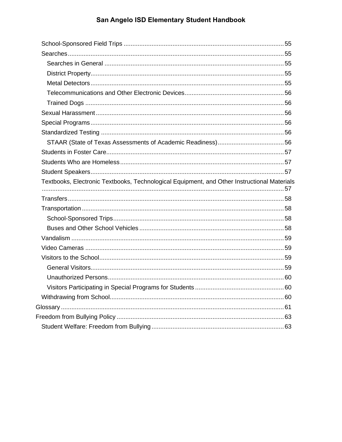| Textbooks, Electronic Textbooks, Technological Equipment, and Other Instructional Materials |  |
|---------------------------------------------------------------------------------------------|--|
|                                                                                             |  |
|                                                                                             |  |
|                                                                                             |  |
|                                                                                             |  |
|                                                                                             |  |
|                                                                                             |  |
|                                                                                             |  |
|                                                                                             |  |
|                                                                                             |  |
|                                                                                             |  |
|                                                                                             |  |
|                                                                                             |  |
|                                                                                             |  |
|                                                                                             |  |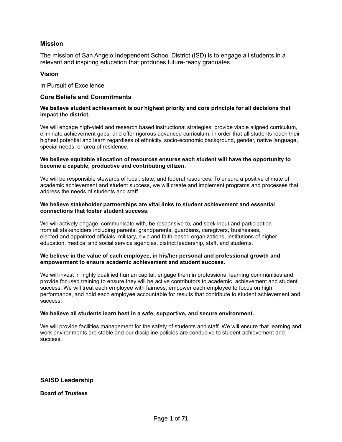#### **Mission**

The mission of San Angelo Independent School District (ISD) is to engage all students in a relevant and inspiring education that produces future-ready graduates.

#### **Vision**

In Pursuit of Excellence

#### **Core Beliefs and Commitments**

#### **We believe student achievement is our highest priority and core principle for all decisions that impact the district.**

We will engage high-yield and research based instructional strategies, provide viable aligned curriculum, eliminate achievement gaps, and offer rigorous advanced curriculum, in order that all students reach their highest potential and learn regardless of ethnicity, socio-economic background, gender, native language, special needs, or area of residence.

#### **We believe equitable allocation of resources ensures each student will have the opportunity to become a capable, productive and contributing citizen.**

We will be responsible stewards of local, state, and federal resources. To ensure a positive climate of academic achievement and student success, we will create and implement programs and processes that address the needs of students and staff.

#### **We believe stakeholder partnerships are vital links to student achievement and essential connections that foster student success.**

We will actively engage, communicate with, be responsive to, and seek input and participation from all stakeholders including parents, grandparents, guardians, caregivers, businesses, elected and appointed officials, military, civic and faith-based organizations, institutions of higher education, medical and social service agencies, district leadership, staff, and students.

#### **We believe in the value of each employee, in his/her personal and professional growth and empowerment to ensure academic achievement and student success.**

We will invest in highly qualified human capital, engage them in professional learning communities and provide focused training to ensure they will be active contributors to academic achievement and student success. We will treat each employee with fairness, empower each employee to focus on high performance, and hold each employee accountable for results that contribute to student achievement and success.

#### **We believe all students learn best in a safe, supportive, and secure environment.**

We will provide facilities management for the safety of students and staff. We will ensure that learning and work environments are stable and our discipline policies are conducive to student achievement and success.

**SAISD Leadership**

**Board of Trustees**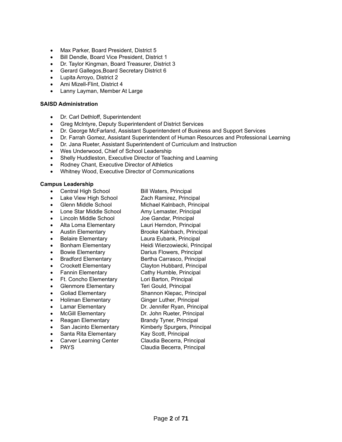- Max Parker, Board President, District 5
- Bill Dendle, Board Vice President, District 1
- Dr. Taylor Kingman, Board Treasurer, District 3
- Gerard Gallegos,Board Secretary District 6
- Lupita Arroyo, District 2
- Ami Mizell-Flint, District 4
- Lanny Layman, Member At Large

#### **SAISD Administration**

- Dr. Carl Dethloff, Superintendent
- Greg McIntyre, Deputy Superintendent of District Services
- Dr. George McFarland, Assistant Superintendent of Business and Support Services
- Dr. Farrah Gomez, Assistant Superintendent of Human Resources and Professional Learning
- Dr. Jana Rueter, Assistant Superintendent of Curriculum and Instruction
- Wes Underwood, Chief of School Leadership
- Shelly Huddleston, Executive Director of Teaching and Learning
- Rodney Chant, Executive Director of Athletics
- Whitney Wood, Executive Director of Communications

#### **Campus Leadership**

- Central High School Bill Waters, Principal
- Lake View High School Zach Ramirez, Principal
- Glenn Middle School Michael Kalnbach, Principal
- Lone Star Middle School Amy Lemaster, Principal
- Lincoln Middle School Joe Gandar, Principal
- Alta Loma Elementary Lauri Herndon, Principal
- Austin Elementary Brooke Kalnbach, Principal
- Belaire Elementary Laura Eubank, Principal
- Bonham Elementary Heidi Wierzowiecki, Principal
- 
- Bradford Elementary Bertha Carrasco, Principal
- Crockett Elementary Clayton Hubbard, Principal
- Fannin Elementary Cathy Humble, Principal
- Ft. Concho Elementary Lori Barton, Principal
- Glenmore Elementary Teri Gould, Principal
- Goliad Elementary Shannon Klepac, Principal
- Holiman Elementary **Ginger Luther, Principal**
- Lamar Elementary Dr. Jennifer Ryan, Principal
- McGill Elementary Dr. John Rueter, Principal
- Reagan Elementary Brandy Tyner, Principal
- San Jacinto Elementary Kimberly Spurgers, Principal
- Santa Rita Elementary Kay Scott, Principal
- Carver Learning Center Claudia Becerra, Principal
- 

- 
- -
	-
- 
- 
- 
- Bowie Elementary Darius Flowers, Principal
	-
	-
	-
	-
	-
	-
	-
	- -
		-
	-
	-
	- PAYS **EXAMPLE 2018** Claudia Becerra, Principal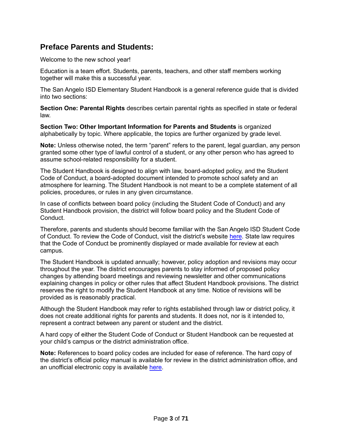# <span id="page-8-0"></span>**Preface Parents and Students:**

Welcome to the new school year!

Education is a team effort. Students, parents, teachers, and other staff members working together will make this a successful year.

The San Angelo ISD Elementary Student Handbook is a general reference guide that is divided into two sections:

**Section One: Parental Rights** describes certain parental rights as specified in state or federal law.

**Section Two: Other Important Information for Parents and Students** is organized alphabetically by topic. Where applicable, the topics are further organized by grade level.

**Note:** Unless otherwise noted, the term "parent" refers to the parent, legal guardian, any person granted some other type of lawful control of a student, or any other person who has agreed to assume school-related responsibility for a student.

The Student Handbook is designed to align with law, board-adopted policy, and the Student Code of Conduct, a board-adopted document intended to promote school safety and an atmosphere for learning. The Student Handbook is not meant to be a complete statement of all policies, procedures, or rules in any given circumstance.

In case of conflicts between board policy (including the Student Code of Conduct) and any Student Handbook provision, the district will follow board policy and the Student Code of Conduct.

Therefore, parents and students should become familiar with the San Angelo ISD Student Code of Conduct. To review the Code of Conduct, visit the district's website [here.](https://resources.finalsite.net/images/v1597349129/saisdorg/hbqmeug9tnocnrf1nm9i/StudentCodeofConduct2020-2021.pdf) State law requires that the Code of Conduct be prominently displayed or made available for review at each campus.

The Student Handbook is updated annually; however, policy adoption and revisions may occur throughout the year. The district encourages parents to stay informed of proposed policy changes by attending board meetings and reviewing newsletter and other communications explaining changes in policy or other rules that affect Student Handbook provisions. The district reserves the right to modify the Student Handbook at any time. Notice of revisions will be provided as is reasonably practical.

Although the Student Handbook may refer to rights established through law or district policy, it does not create additional rights for parents and students. It does not, nor is it intended to, represent a contract between any parent or student and the district.

A hard copy of either the Student Code of Conduct or Student Handbook can be requested at your child's campus or the district administration office.

**Note:** References to board policy codes are included for ease of reference. The hard copy of the district's official policy manual is available for review in the district administration office, and an unofficial electronic copy is available [here.](https://pol.tasb.org/Home/Index/1139)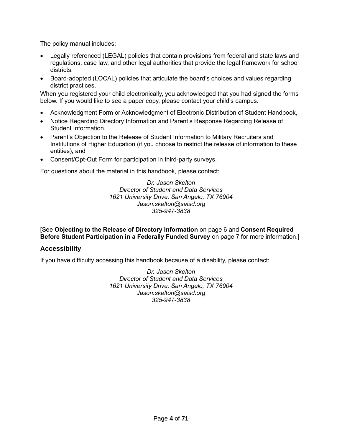The policy manual includes:

- Legally referenced (LEGAL) policies that contain provisions from federal and state laws and regulations, case law, and other legal authorities that provide the legal framework for school districts.
- Board-adopted (LOCAL) policies that articulate the board's choices and values regarding district practices.

When you registered your child electronically, you acknowledged that you had signed the forms below. If you would like to see a paper copy, please contact your child's campus.

- Acknowledgment Form or Acknowledgment of Electronic Distribution of Student Handbook,
- Notice Regarding Directory Information and Parent's Response Regarding Release of Student Information,
- Parent's Objection to the Release of Student Information to Military Recruiters and Institutions of Higher Education (if you choose to restrict the release of information to these entities), and
- Consent/Opt-Out Form for participation in third-party surveys.

For questions about the material in this handbook, please contact:

*Dr. Jason Skelton Director of Student and Data Services 1621 University Drive, San Angelo, TX 76904 Jason.skelton@saisd.org 325-947-3838*

[See **Objecting to the Release of Directory Information** on page [6](#page-11-2) and **Consent Required Before Student Participation in a Federally Funded Survey** on page [7](#page-12-1) for more information.]

# <span id="page-9-0"></span>**Accessibility**

If you have difficulty accessing this handbook because of a disability, please contact:

*Dr. Jason Skelton Director of Student and Data Services 1621 University Drive, San Angelo, TX 76904 Jason.skelton@saisd.org 325-947-3838*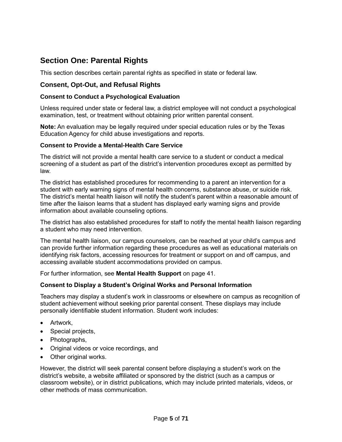# <span id="page-10-0"></span>**Section One: Parental Rights**

This section describes certain parental rights as specified in state or federal law.

# <span id="page-10-1"></span>**Consent, Opt-Out, and Refusal Rights**

### <span id="page-10-2"></span>**Consent to Conduct a Psychological Evaluation**

Unless required under state or federal law, a district employee will not conduct a psychological examination, test, or treatment without obtaining prior written parental consent.

**Note:** An evaluation may be legally required under special education rules or by the Texas Education Agency for child abuse investigations and reports.

#### <span id="page-10-3"></span>**Consent to Provide a Mental-Health Care Service**

The district will not provide a mental health care service to a student or conduct a medical screening of a student as part of the district's intervention procedures except as permitted by law.

The district has established procedures for recommending to a parent an intervention for a student with early warning signs of mental health concerns, substance abuse, or suicide risk. The district's mental health liaison will notify the student's parent within a reasonable amount of time after the liaison learns that a student has displayed early warning signs and provide information about available counseling options.

The district has also established procedures for staff to notify the mental health liaison regarding a student who may need intervention.

The mental health liaison, our campus counselors, can be reached at your child's campus and can provide further information regarding these procedures as well as educational materials on identifying risk factors, accessing resources for treatment or support on and off campus, and accessing available student accommodations provided on campus.

For further information, see **Mental Health Support** on page [41.](#page-46-2)

### <span id="page-10-4"></span>**Consent to Display a Student's Original Works and Personal Information**

Teachers may display a student's work in classrooms or elsewhere on campus as recognition of student achievement without seeking prior parental consent. These displays may include personally identifiable student information. Student work includes:

- Artwork,
- Special projects,
- Photographs,
- Original videos or voice recordings, and
- Other original works.

However, the district will seek parental consent before displaying a student's work on the district's website, a website affiliated or sponsored by the district (such as a campus or classroom website), or in district publications, which may include printed materials, videos, or other methods of mass communication.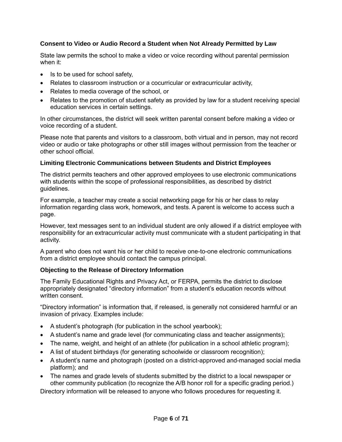# <span id="page-11-0"></span>**Consent to Video or Audio Record a Student when Not Already Permitted by Law**

State law permits the school to make a video or voice recording without parental permission when it:

- Is to be used for school safety,
- Relates to classroom instruction or a cocurricular or extracurricular activity,
- Relates to media coverage of the school, or
- Relates to the promotion of student safety as provided by law for a student receiving special education services in certain settings.

In other circumstances, the district will seek written parental consent before making a video or voice recording of a student.

Please note that parents and visitors to a classroom, both virtual and in person, may not record video or audio or take photographs or other still images without permission from the teacher or other school official.

### <span id="page-11-1"></span>**Limiting Electronic Communications between Students and District Employees**

The district permits teachers and other approved employees to use electronic communications with students within the scope of professional responsibilities, as described by district guidelines.

For example, a teacher may create a social networking page for his or her class to relay information regarding class work, homework, and tests. A parent is welcome to access such a page.

However, text messages sent to an individual student are only allowed if a district employee with responsibility for an extracurricular activity must communicate with a student participating in that activity.

A parent who does not want his or her child to receive one-to-one electronic communications from a district employee should contact the campus principal.

### <span id="page-11-2"></span>**Objecting to the Release of Directory Information**

The Family Educational Rights and Privacy Act, or FERPA, permits the district to disclose appropriately designated "directory information" from a student's education records without written consent.

"Directory information" is information that, if released, is generally not considered harmful or an invasion of privacy. Examples include:

- A student's photograph (for publication in the school yearbook);
- A student's name and grade level (for communicating class and teacher assignments);
- The name, weight, and height of an athlete (for publication in a school athletic program);
- A list of student birthdays (for generating schoolwide or classroom recognition);
- A student's name and photograph (posted on a district-approved and-managed social media platform); and
- The names and grade levels of students submitted by the district to a local newspaper or other community publication (to recognize the A/B honor roll for a specific grading period.)

Directory information will be released to anyone who follows procedures for requesting it.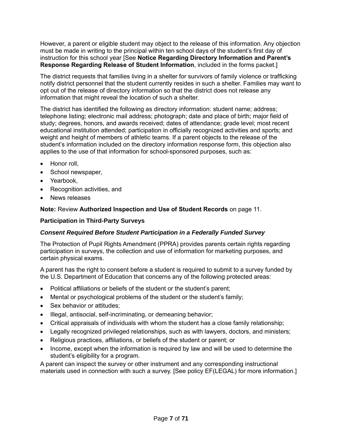However, a parent or eligible student may object to the release of this information. Any objection must be made in writing to the principal within ten school days of the student's first day of instruction for this school year [See **Notice Regarding Directory Information and Parent's Response Regarding Release of Student Information**, included in the forms packet.]

The district requests that families living in a shelter for survivors of family violence or trafficking notify district personnel that the student currently resides in such a shelter. Families may want to opt out of the release of directory information so that the district does not release any information that might reveal the location of such a shelter.

The district has identified the following as directory information: student name; address; telephone listing; electronic mail address; photograph; date and place of birth; major field of study; degrees, honors, and awards received; dates of attendance; grade level; most recent educational institution attended; participation in officially recognized activities and sports; and weight and height of members of athletic teams*.* If a parent objects to the release of the student's information included on the directory information response form, this objection also applies to the use of that information for school-sponsored purposes, such as:

- Honor roll,
- School newspaper,
- Yearbook,
- Recognition activities, and
- News releases

**Note:** Review **Authorized Inspection and Use of Student Records** on page [11.](#page-16-0)

#### <span id="page-12-0"></span>**Participation in Third-Party Surveys**

### <span id="page-12-1"></span>*Consent Required Before Student Participation in a Federally Funded Survey*

The Protection of Pupil Rights Amendment (PPRA) provides parents certain rights regarding participation in surveys, the collection and use of information for marketing purposes, and certain physical exams.

A parent has the right to consent before a student is required to submit to a survey funded by the U.S. Department of Education that concerns any of the following protected areas:

- Political affiliations or beliefs of the student or the student's parent;
- Mental or psychological problems of the student or the student's family;
- Sex behavior or attitudes;
- Illegal, antisocial, self-incriminating, or demeaning behavior;
- Critical appraisals of individuals with whom the student has a close family relationship;
- Legally recognized privileged relationships, such as with lawyers, doctors, and ministers;
- Religious practices, affiliations, or beliefs of the student or parent; or
- Income, except when the information is required by law and will be used to determine the student's eligibility for a program.

A parent can inspect the survey or other instrument and any corresponding instructional materials used in connection with such a survey. [See policy EF(LEGAL) for more information.]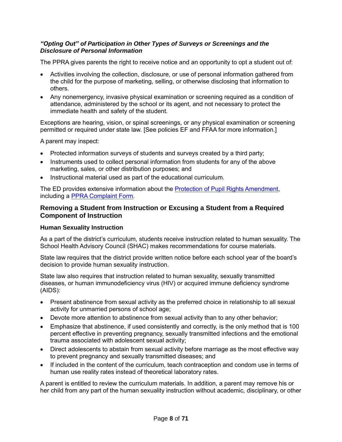## *"Opting Out" of Participation in Other Types of Surveys or Screenings and the Disclosure of Personal Information*

The PPRA gives parents the right to receive notice and an opportunity to opt a student out of:

- Activities involving the collection, disclosure, or use of personal information gathered from the child for the purpose of marketing, selling, or otherwise disclosing that information to others.
- Any nonemergency, invasive physical examination or screening required as a condition of attendance, administered by the school or its agent, and not necessary to protect the immediate health and safety of the student.

Exceptions are hearing, vision, or spinal screenings, or any physical examination or screening permitted or required under state law. [See policies EF and FFAA for more information.]

A parent may inspect:

- Protected information surveys of students and surveys created by a third party;
- Instruments used to collect personal information from students for any of the above marketing, sales, or other distribution purposes; and
- Instructional material used as part of the educational curriculum.

The ED provides extensive information about the **Protection of Pupil Rights Amendment**, including a [PPRA Complaint Form.](https://studentprivacy.ed.gov/file-a-complaint)

# <span id="page-13-0"></span>**Removing a Student from Instruction or Excusing a Student from a Required Component of Instruction**

### <span id="page-13-1"></span>**Human Sexuality Instruction**

As a part of the district's curriculum, students receive instruction related to human sexuality. The School Health Advisory Council (SHAC) makes recommendations for course materials.

State law requires that the district provide written notice before each school year of the board's decision to provide human sexuality instruction.

State law also requires that instruction related to human sexuality, sexually transmitted diseases, or human immunodeficiency virus (HIV) or acquired immune deficiency syndrome (AIDS):

- Present abstinence from sexual activity as the preferred choice in relationship to all sexual activity for unmarried persons of school age;
- Devote more attention to abstinence from sexual activity than to any other behavior;
- Emphasize that abstinence, if used consistently and correctly, is the only method that is 100 percent effective in preventing pregnancy, sexually transmitted infections and the emotional trauma associated with adolescent sexual activity;
- Direct adolescents to abstain from sexual activity before marriage as the most effective way to prevent pregnancy and sexually transmitted diseases; and
- If included in the content of the curriculum, teach contraception and condom use in terms of human use reality rates instead of theoretical laboratory rates.

A parent is entitled to review the curriculum materials. In addition, a parent may remove his or her child from any part of the human sexuality instruction without academic, disciplinary, or other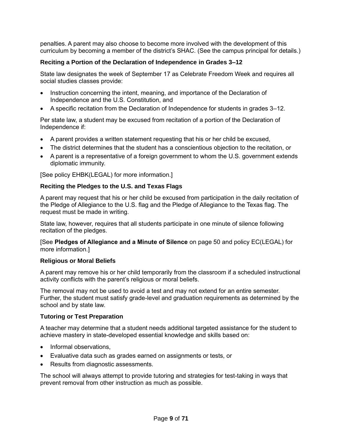penalties. A parent may also choose to become more involved with the development of this curriculum by becoming a member of the district's SHAC. (See the campus principal for details.)

## <span id="page-14-0"></span>**Reciting a Portion of the Declaration of Independence in Grades 3–12**

State law designates the week of September 17 as Celebrate Freedom Week and requires all social studies classes provide:

- Instruction concerning the intent, meaning, and importance of the Declaration of Independence and the U.S. Constitution, and
- A specific recitation from the Declaration of Independence for students in grades 3–12.

Per state law, a student may be excused from recitation of a portion of the Declaration of Independence if:

- A parent provides a written statement requesting that his or her child be excused,
- The district determines that the student has a conscientious objection to the recitation, or
- A parent is a representative of a foreign government to whom the U.S. government extends diplomatic immunity.

[See policy EHBK(LEGAL) for more information.]

### <span id="page-14-1"></span>**Reciting the Pledges to the U.S. and Texas Flags**

A parent may request that his or her child be excused from participation in the daily recitation of the Pledge of Allegiance to the U.S. flag and the Pledge of Allegiance to the Texas flag. The request must be made in writing.

State law, however, requires that all students participate in one minute of silence following recitation of the pledges.

[See **Pledges of Allegiance and a Minute of Silence** on page [50](#page-55-0) and policy EC(LEGAL) for more information.]

#### <span id="page-14-2"></span>**Religious or Moral Beliefs**

A parent may remove his or her child temporarily from the classroom if a scheduled instructional activity conflicts with the parent's religious or moral beliefs.

The removal may not be used to avoid a test and may not extend for an entire semester. Further, the student must satisfy grade-level and graduation requirements as determined by the school and by state law.

### <span id="page-14-3"></span>**Tutoring or Test Preparation**

A teacher may determine that a student needs additional targeted assistance for the student to achieve mastery in state-developed essential knowledge and skills based on:

- Informal observations,
- Evaluative data such as grades earned on assignments or tests, or
- Results from diagnostic assessments.

The school will always attempt to provide tutoring and strategies for test-taking in ways that prevent removal from other instruction as much as possible.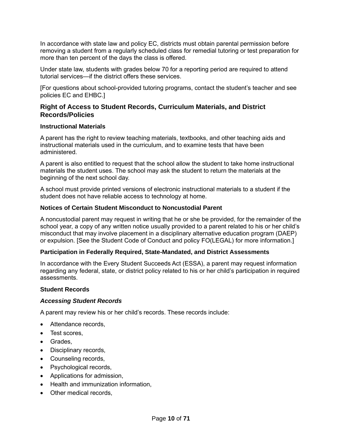In accordance with state law and policy EC, districts must obtain parental permission before removing a student from a regularly scheduled class for remedial tutoring or test preparation for more than ten percent of the days the class is offered.

Under state law, students with grades below 70 for a reporting period are required to attend tutorial services—if the district offers these services.

[For questions about school-provided tutoring programs, contact the student's teacher and see policies EC and EHBC.]

# <span id="page-15-0"></span>**Right of Access to Student Records, Curriculum Materials, and District Records/Policies**

#### <span id="page-15-1"></span>**Instructional Materials**

A parent has the right to review teaching materials, textbooks, and other teaching aids and instructional materials used in the curriculum, and to examine tests that have been administered.

A parent is also entitled to request that the school allow the student to take home instructional materials the student uses. The school may ask the student to return the materials at the beginning of the next school day.

A school must provide printed versions of electronic instructional materials to a student if the student does not have reliable access to technology at home.

#### <span id="page-15-2"></span>**Notices of Certain Student Misconduct to Noncustodial Parent**

A noncustodial parent may request in writing that he or she be provided, for the remainder of the school year, a copy of any written notice usually provided to a parent related to his or her child's misconduct that may involve placement in a disciplinary alternative education program (DAEP) or expulsion. [See the Student Code of Conduct and policy FO(LEGAL) for more information.]

### <span id="page-15-3"></span>**Participation in Federally Required, State-Mandated, and District Assessments**

In accordance with the Every Student Succeeds Act (ESSA), a parent may request information regarding any federal, state, or district policy related to his or her child's participation in required assessments.

### <span id="page-15-4"></span>**Student Records**

#### *Accessing Student Records*

A parent may review his or her child's records. These records include:

- Attendance records,
- Test scores,
- Grades,
- Disciplinary records,
- Counseling records,
- Psychological records,
- Applications for admission,
- Health and immunization information,
- Other medical records,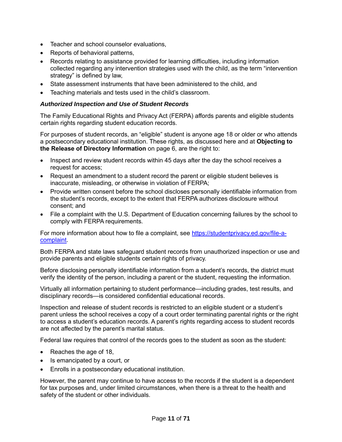- Teacher and school counselor evaluations,
- Reports of behavioral patterns.
- Records relating to assistance provided for learning difficulties, including information collected regarding any intervention strategies used with the child, as the term "intervention strategy" is defined by law,
- State assessment instruments that have been administered to the child, and
- Teaching materials and tests used in the child's classroom.

#### <span id="page-16-0"></span>*Authorized Inspection and Use of Student Records*

The Family Educational Rights and Privacy Act (FERPA) affords parents and eligible students certain rights regarding student education records.

For purposes of student records, an "eligible" student is anyone age 18 or older or who attends a postsecondary educational institution. These rights, as discussed here and at **Objecting to the Release of Directory Information** on page [6,](#page-11-2) are the right to:

- Inspect and review student records within 45 days after the day the school receives a request for access;
- Request an amendment to a student record the parent or eligible student believes is inaccurate, misleading, or otherwise in violation of FERPA;
- Provide written consent before the school discloses personally identifiable information from the student's records, except to the extent that FERPA authorizes disclosure without consent; and
- File a complaint with the U.S. Department of Education concerning failures by the school to comply with FERPA requirements.

For more information about how to file a complaint, see [https://studentprivacy.ed.gov/file-a](https://studentprivacy.ed.gov/file-a-complaint)[complaint.](https://studentprivacy.ed.gov/file-a-complaint)

Both FERPA and state laws safeguard student records from unauthorized inspection or use and provide parents and eligible students certain rights of privacy.

Before disclosing personally identifiable information from a student's records, the district must verify the identity of the person, including a parent or the student, requesting the information.

Virtually all information pertaining to student performance—including grades, test results, and disciplinary records—is considered confidential educational records.

Inspection and release of student records is restricted to an eligible student or a student's parent unless the school receives a copy of a court order terminating parental rights or the right to access a student's education records. A parent's rights regarding access to student records are not affected by the parent's marital status.

Federal law requires that control of the records goes to the student as soon as the student:

- Reaches the age of 18,
- Is emancipated by a court, or
- Enrolls in a postsecondary educational institution.

However, the parent may continue to have access to the records if the student is a dependent for tax purposes and, under limited circumstances, when there is a threat to the health and safety of the student or other individuals.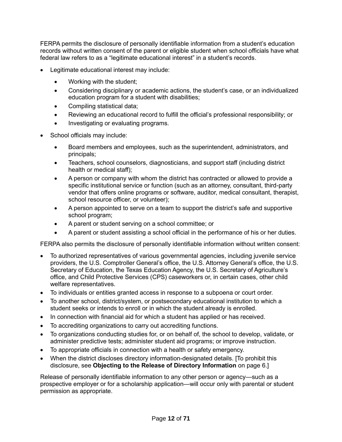FERPA permits the disclosure of personally identifiable information from a student's education records without written consent of the parent or eligible student when school officials have what federal law refers to as a "legitimate educational interest" in a student's records.

- Legitimate educational interest may include:
	- Working with the student;
	- Considering disciplinary or academic actions, the student's case, or an individualized education program for a student with disabilities;
	- Compiling statistical data;
	- Reviewing an educational record to fulfill the official's professional responsibility; or
	- Investigating or evaluating programs.
- School officials may include:
	- Board members and employees, such as the superintendent, administrators, and principals;
	- Teachers, school counselors, diagnosticians, and support staff (including district health or medical staff);
	- A person or company with whom the district has contracted or allowed to provide a specific institutional service or function (such as an attorney, consultant, third-party vendor that offers online programs or software, auditor, medical consultant, therapist, school resource officer, or volunteer);
	- A person appointed to serve on a team to support the district's safe and supportive school program;
	- A parent or student serving on a school committee; or
	- A parent or student assisting a school official in the performance of his or her duties.

FERPA also permits the disclosure of personally identifiable information without written consent:

- To authorized representatives of various governmental agencies, including juvenile service providers, the U.S. Comptroller General's office, the U.S. Attorney General's office, the U.S. Secretary of Education, the Texas Education Agency, the U.S. Secretary of Agriculture's office, and Child Protective Services (CPS) caseworkers or, in certain cases, other child welfare representatives.
- To individuals or entities granted access in response to a subpoena or court order.
- To another school, district/system, or postsecondary educational institution to which a student seeks or intends to enroll or in which the student already is enrolled.
- In connection with financial aid for which a student has applied or has received.
- To accrediting organizations to carry out accrediting functions.
- To organizations conducting studies for, or on behalf of, the school to develop, validate, or administer predictive tests; administer student aid programs; or improve instruction.
- To appropriate officials in connection with a health or safety emergency.
- When the district discloses directory information-designated details. [To prohibit this disclosure, see **Objecting to the Release of Directory Information** on page [6.](#page-11-2)]

Release of personally identifiable information to any other person or agency—such as a prospective employer or for a scholarship application—will occur only with parental or student permission as appropriate.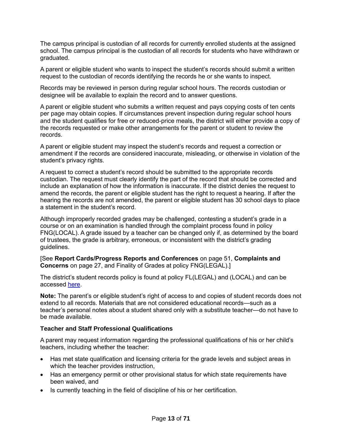The campus principal is custodian of all records for currently enrolled students at the assigned school. The campus principal is the custodian of all records for students who have withdrawn or graduated.

A parent or eligible student who wants to inspect the student's records should submit a written request to the custodian of records identifying the records he or she wants to inspect.

Records may be reviewed in person during regular school hours. The records custodian or designee will be available to explain the record and to answer questions.

A parent or eligible student who submits a written request and pays copying costs of ten cents per page may obtain copies. If circumstances prevent inspection during regular school hours and the student qualifies for free or reduced-price meals, the district will either provide a copy of the records requested or make other arrangements for the parent or student to review the records.

A parent or eligible student may inspect the student's records and request a correction or amendment if the records are considered inaccurate, misleading, or otherwise in violation of the student's privacy rights.

A request to correct a student's record should be submitted to the appropriate records custodian. The request must clearly identify the part of the record that should be corrected and include an explanation of how the information is inaccurate. If the district denies the request to amend the records, the parent or eligible student has the right to request a hearing. If after the hearing the records are not amended, the parent or eligible student has 30 school days to place a statement in the student's record.

Although improperly recorded grades may be challenged, contesting a student's grade in a course or on an examination is handled through the complaint process found in policy FNG(LOCAL). A grade issued by a teacher can be changed only if, as determined by the board of trustees, the grade is arbitrary, erroneous, or inconsistent with the district's grading guidelines.

[See **Report Cards/Progress Reports and Conferences** on page [51,](#page-56-2) **Complaints and Concerns** on page [27,](#page-32-3) and Finality of Grades at policy FNG(LEGAL).]

The district's student records policy is found at policy FL(LEGAL) and (LOCAL) and can be accessed [here.](https://pol.tasb.org/Policy/Code/1139?filter=FL)

**Note:** The parent's or eligible student's right of access to and copies of student records does not extend to all records. Materials that are not considered educational records—such as a teacher's personal notes about a student shared only with a substitute teacher—do not have to be made available.

### <span id="page-18-0"></span>**Teacher and Staff Professional Qualifications**

A parent may request information regarding the professional qualifications of his or her child's teachers, including whether the teacher:

- Has met state qualification and licensing criteria for the grade levels and subject areas in which the teacher provides instruction,
- Has an emergency permit or other provisional status for which state requirements have been waived, and
- Is currently teaching in the field of discipline of his or her certification.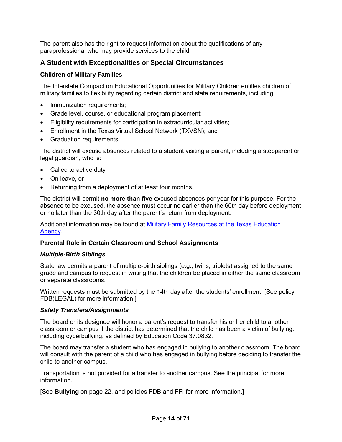The parent also has the right to request information about the qualifications of any paraprofessional who may provide services to the child.

# <span id="page-19-0"></span>**A Student with Exceptionalities or Special Circumstances**

# <span id="page-19-1"></span>**Children of Military Families**

The Interstate Compact on Educational Opportunities for Military Children entitles children of military families to flexibility regarding certain district and state requirements, including:

- Immunization requirements:
- Grade level, course, or educational program placement;
- Eligibility requirements for participation in extracurricular activities;
- Enrollment in the Texas Virtual School Network (TXVSN); and
- Graduation requirements.

The district will excuse absences related to a student visiting a parent, including a stepparent or legal guardian, who is:

- Called to active duty,
- On leave, or
- Returning from a deployment of at least four months.

The district will permit **no more than five** excused absences per year for this purpose. For the absence to be excused, the absence must occur no earlier than the 60th day before deployment or no later than the 30th day after the parent's return from deployment.

Additional information may be found at [Military Family Resources at the Texas Education](http://tea.texas.gov/index2.aspx?id=7995)  [Agency.](http://tea.texas.gov/index2.aspx?id=7995)

# <span id="page-19-2"></span>**Parental Role in Certain Classroom and School Assignments**

# *Multiple-Birth Siblings*

State law permits a parent of multiple-birth siblings (e.g., twins, triplets) assigned to the same grade and campus to request in writing that the children be placed in either the same classroom or separate classrooms.

Written requests must be submitted by the 14th day after the students' enrollment. [See policy FDB(LEGAL) for more information.]

# <span id="page-19-3"></span>*Safety Transfers/Assignments*

The board or its designee will honor a parent's request to transfer his or her child to another classroom or campus if the district has determined that the child has been a victim of bullying, including cyberbullying, as defined by Education Code 37.0832.

The board may transfer a student who has engaged in bullying to another classroom. The board will consult with the parent of a child who has engaged in bullying before deciding to transfer the child to another campus.

Transportation is not provided for a transfer to another campus. See the principal for more information.

[See **Bullying** on page [22,](#page-27-2) and policies FDB and FFI for more information.]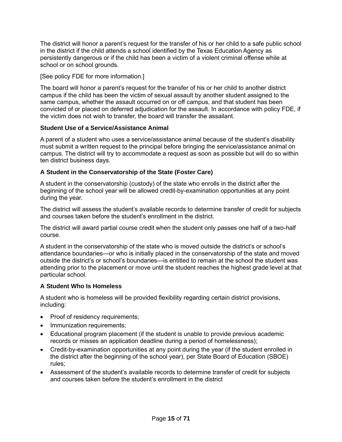The district will honor a parent's request for the transfer of his or her child to a safe public school in the district if the child attends a school identified by the Texas Education Agency as persistently dangerous or if the child has been a victim of a violent criminal offense while at school or on school grounds.

[See policy FDE for more information.]

The board will honor a parent's request for the transfer of his or her child to another district campus if the child has been the victim of sexual assault by another student assigned to the same campus, whether the assault occurred on or off campus, and that student has been convicted of or placed on deferred adjudication for the assault. In accordance with policy FDE, if the victim does not wish to transfer, the board will transfer the assailant.

# <span id="page-20-0"></span>**Student Use of a Service/Assistance Animal**

A parent of a student who uses a service/assistance animal because of the student's disability must submit a written request to the principal before bringing the service/assistance animal on campus. The district will try to accommodate a request as soon as possible but will do so within ten district business days.

# <span id="page-20-1"></span>**A Student in the Conservatorship of the State (Foster Care)**

A student in the conservatorship (custody) of the state who enrolls in the district after the beginning of the school year will be allowed credit-by-examination opportunities at any point during the year.

The district will assess the student's available records to determine transfer of credit for subjects and courses taken before the student's enrollment in the district.

The district will award partial course credit when the student only passes one half of a two-half course.

A student in the conservatorship of the state who is moved outside the district's or school's attendance boundaries—or who is initially placed in the conservatorship of the state and moved outside the district's or school's boundaries—is entitled to remain at the school the student was attending prior to the placement or move until the student reaches the highest grade level at that particular school.

### <span id="page-20-2"></span>**A Student Who Is Homeless**

A student who is homeless will be provided flexibility regarding certain district provisions, including:

- Proof of residency requirements;
- Immunization requirements;
- Educational program placement (if the student is unable to provide previous academic records or misses an application deadline during a period of homelessness);
- Credit-by-examination opportunities at any point during the year (if the student enrolled in the district after the beginning of the school year), per State Board of Education (SBOE) rules;
- Assessment of the student's available records to determine transfer of credit for subjects and courses taken before the student's enrollment in the district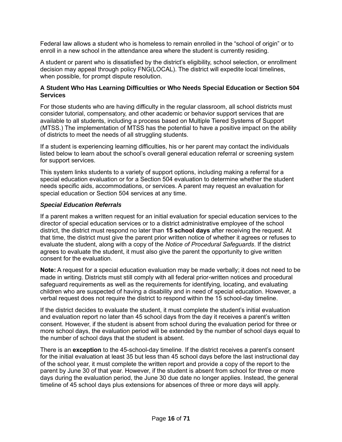Federal law allows a student who is homeless to remain enrolled in the "school of origin" or to enroll in a new school in the attendance area where the student is currently residing.

A student or parent who is dissatisfied by the district's eligibility, school selection, or enrollment decision may appeal through policy FNG(LOCAL). The district will expedite local timelines, when possible, for prompt dispute resolution.

## <span id="page-21-0"></span>**A Student Who Has Learning Difficulties or Who Needs Special Education or Section 504 Services**

For those students who are having difficulty in the regular classroom, all school districts must consider tutorial, compensatory, and other academic or behavior support services that are available to all students, including a process based on Multiple Tiered Systems of Support (MTSS.) The implementation of MTSS has the potential to have a positive impact on the ability of districts to meet the needs of all struggling students.

If a student is experiencing learning difficulties, his or her parent may contact the individuals listed below to learn about the school's overall general education referral or screening system for support services.

This system links students to a variety of support options, including making a referral for a special education evaluation or for a Section 504 evaluation to determine whether the student needs specific aids, accommodations, or services. A parent may request an evaluation for special education or Section 504 services at any time.

### *Special Education Referrals*

If a parent makes a written request for an initial evaluation for special education services to the director of special education services or to a district administrative employee of the school district, the district must respond no later than **15 school days** after receiving the request. At that time, the district must give the parent prior written notice of whether it agrees or refuses to evaluate the student, along with a copy of the *Notice of Procedural Safeguards*. If the district agrees to evaluate the student, it must also give the parent the opportunity to give written consent for the evaluation.

**Note:** A request for a special education evaluation may be made verbally; it does not need to be made in writing. Districts must still comply with all federal prior-written notices and procedural safeguard requirements as well as the requirements for identifying, locating, and evaluating children who are suspected of having a disability and in need of special education. However, a verbal request does not require the district to respond within the 15 school-day timeline.

If the district decides to evaluate the student, it must complete the student's initial evaluation and evaluation report no later than 45 school days from the day it receives a parent's written consent. However, if the student is absent from school during the evaluation period for three or more school days, the evaluation period will be extended by the number of school days equal to the number of school days that the student is absent.

There is an **exception** to the 45-school-day timeline. If the district receives a parent's consent for the initial evaluation at least 35 but less than 45 school days before the last instructional day of the school year, it must complete the written report and provide a copy of the report to the parent by June 30 of that year. However, if the student is absent from school for three or more days during the evaluation period, the June 30 due date no longer applies. Instead, the general timeline of 45 school days plus extensions for absences of three or more days will apply.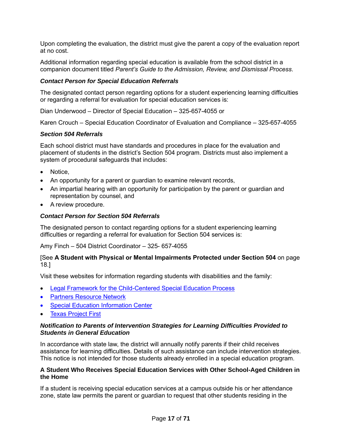Upon completing the evaluation, the district must give the parent a copy of the evaluation report at no cost.

Additional information regarding special education is available from the school district in a companion document titled *Parent's Guide to the Admission, Review, and Dismissal Process*.

### *Contact Person for Special Education Referrals*

The designated contact person regarding options for a student experiencing learning difficulties or regarding a referral for evaluation for special education services is:

Dian Underwood – Director of Special Education – 325-657-4055 or

Karen Crouch – Special Education Coordinator of Evaluation and Compliance – 325-657-4055

#### *Section 504 Referrals*

Each school district must have standards and procedures in place for the evaluation and placement of students in the district's Section 504 program. Districts must also implement a system of procedural safeguards that includes:

- Notice,
- An opportunity for a parent or guardian to examine relevant records,
- An impartial hearing with an opportunity for participation by the parent or guardian and representation by counsel, and
- A review procedure.

### *Contact Person for Section 504 Referrals*

The designated person to contact regarding options for a student experiencing learning difficulties or regarding a referral for evaluation for Section 504 services is:

Amy Finch – 504 District Coordinator – 325- 657-4055

### [See **A Student with Physical or Mental Impairments Protected under Section 504** on page [18.](#page-23-1)]

Visit these websites for information regarding students with disabilities and the family:

- [Legal Framework for the Child-Centered Special Education Process](http://framework.esc18.net/display/Webforms/LandingPage.aspx)
- [Partners Resource Network](http://www.partnerstx.org/)
- [Special Education Information Center](http://www.spedtex.org/)
- **[Texas Project First](http://www.texasprojectfirst.org/)**

#### *Notification to Parents of Intervention Strategies for Learning Difficulties Provided to Students in General Education*

In accordance with state law, the district will annually notify parents if their child receives assistance for learning difficulties. Details of such assistance can include intervention strategies. This notice is not intended for those students already enrolled in a special education program.

#### <span id="page-22-0"></span>**A Student Who Receives Special Education Services with Other School-Aged Children in the Home**

If a student is receiving special education services at a campus outside his or her attendance zone, state law permits the parent or guardian to request that other students residing in the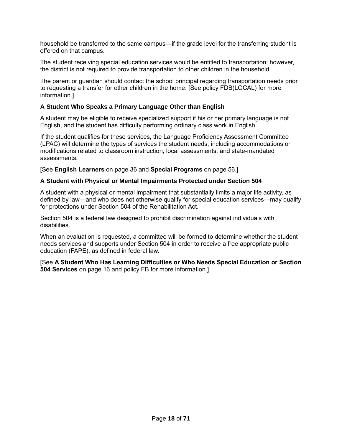household be transferred to the same campus—if the grade level for the transferring student is offered on that campus.

The student receiving special education services would be entitled to transportation; however, the district is not required to provide transportation to other children in the household.

The parent or guardian should contact the school principal regarding transportation needs prior to requesting a transfer for other children in the home. [See policy FDB(LOCAL) for more information.]

# <span id="page-23-0"></span>**A Student Who Speaks a Primary Language Other than English**

A student may be eligible to receive specialized support if his or her primary language is not English, and the student has difficulty performing ordinary class work in English.

If the student qualifies for these services, the Language Proficiency Assessment Committee (LPAC) will determine the types of services the student needs, including accommodations or modifications related to classroom instruction, local assessments, and state-mandated assessments.

[See **English Learners** on page [36](#page-41-0) and **Special Programs** on page [56.](#page-61-3)]

### <span id="page-23-1"></span>**A Student with Physical or Mental Impairments Protected under Section 504**

A student with a physical or mental impairment that substantially limits a major life activity, as defined by law—and who does not otherwise qualify for special education services—may qualify for protections under Section 504 of the Rehabilitation Act.

Section 504 is a federal law designed to prohibit discrimination against individuals with disabilities.

When an evaluation is requested, a committee will be formed to determine whether the student needs services and supports under Section 504 in order to receive a free appropriate public education (FAPE), as defined in federal law.

[See **A Student Who Has Learning Difficulties or Who Needs Special Education or Section 504 Services** on page [16](#page-21-0) and policy FB for more information.]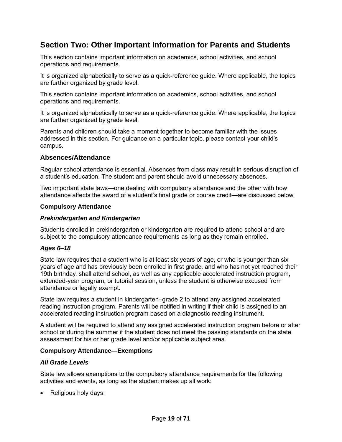# <span id="page-24-0"></span>**Section Two: Other Important Information for Parents and Students**

This section contains important information on academics, school activities, and school operations and requirements.

It is organized alphabetically to serve as a quick-reference guide. Where applicable, the topics are further organized by grade level.

This section contains important information on academics, school activities, and school operations and requirements.

It is organized alphabetically to serve as a quick-reference guide. Where applicable, the topics are further organized by grade level.

Parents and children should take a moment together to become familiar with the issues addressed in this section. For guidance on a particular topic, please contact your child's campus.

### <span id="page-24-1"></span>**Absences/Attendance**

Regular school attendance is essential. Absences from class may result in serious disruption of a student's education. The student and parent should avoid unnecessary absences.

Two important state laws—one dealing with compulsory attendance and the other with how attendance affects the award of a student's final grade or course credit—are discussed below.

#### <span id="page-24-2"></span>**Compulsory Attendance**

#### *Prekindergarten and Kindergarten*

Students enrolled in prekindergarten or kindergarten are required to attend school and are subject to the compulsory attendance requirements as long as they remain enrolled.

### *Ages 6–18*

State law requires that a student who is at least six years of age, or who is younger than six years of age and has previously been enrolled in first grade, and who has not yet reached their 19th birthday, shall attend school, as well as any applicable accelerated instruction program, extended-year program, or tutorial session, unless the student is otherwise excused from attendance or legally exempt.

State law requires a student in kindergarten–grade 2 to attend any assigned accelerated reading instruction program. Parents will be notified in writing if their child is assigned to an accelerated reading instruction program based on a diagnostic reading instrument.

A student will be required to attend any assigned accelerated instruction program before or after school or during the summer if the student does not meet the passing standards on the state assessment for his or her grade level and/or applicable subject area.

#### <span id="page-24-3"></span>**Compulsory Attendance—Exemptions**

#### *All Grade Levels*

State law allows exemptions to the compulsory attendance requirements for the following activities and events, as long as the student makes up all work:

• Religious holy days;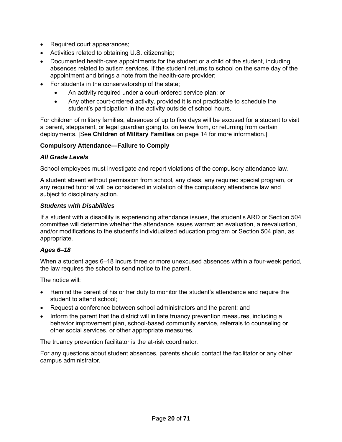- Required court appearances;
- Activities related to obtaining U.S. citizenship;
- Documented health-care appointments for the student or a child of the student, including absences related to autism services, if the student returns to school on the same day of the appointment and brings a note from the health-care provider;
- For students in the conservatorship of the state;
	- An activity required under a court-ordered service plan; or
	- Any other court-ordered activity, provided it is not practicable to schedule the student's participation in the activity outside of school hours.

For children of military families, absences of up to five days will be excused for a student to visit a parent, stepparent, or legal guardian going to, on leave from, or returning from certain deployments. [See **Children of Military Families** on page [14](#page-19-1) for more information.]

# <span id="page-25-0"></span>**Compulsory Attendance—Failure to Comply**

### *All Grade Levels*

School employees must investigate and report violations of the compulsory attendance law.

A student absent without permission from school, any class, any required special program, or any required tutorial will be considered in violation of the compulsory attendance law and subject to disciplinary action.

#### *Students with Disabilities*

If a student with a disability is experiencing attendance issues, the student's ARD or Section 504 committee will determine whether the attendance issues warrant an evaluation, a reevaluation, and/or modifications to the student's individualized education program or Section 504 plan, as appropriate.

### *Ages 6–18*

When a student ages 6–18 incurs three or more unexcused absences within a four-week period, the law requires the school to send notice to the parent.

The notice will:

- Remind the parent of his or her duty to monitor the student's attendance and require the student to attend school;
- Request a conference between school administrators and the parent; and
- Inform the parent that the district will initiate truancy prevention measures, including a behavior improvement plan, school-based community service, referrals to counseling or other social services, or other appropriate measures.

The truancy prevention facilitator is the at-risk coordinator.

For any questions about student absences, parents should contact the facilitator or any other campus administrator.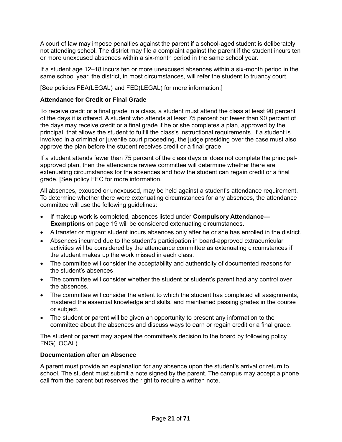A court of law may impose penalties against the parent if a school-aged student is deliberately not attending school. The district may file a complaint against the parent if the student incurs ten or more unexcused absences within a six-month period in the same school year.

If a student age 12–18 incurs ten or more unexcused absences within a six-month period in the same school year, the district, in most circumstances, will refer the student to truancy court.

[See policies FEA(LEGAL) and FED(LEGAL) for more information.]

# <span id="page-26-0"></span>**Attendance for Credit or Final Grade**

To receive credit or a final grade in a class, a student must attend the class at least 90 percent of the days it is offered. A student who attends at least 75 percent but fewer than 90 percent of the days may receive credit or a final grade if he or she completes a plan, approved by the principal, that allows the student to fulfill the class's instructional requirements. If a student is involved in a criminal or juvenile court proceeding, the judge presiding over the case must also approve the plan before the student receives credit or a final grade.

If a student attends fewer than 75 percent of the class days or does not complete the principalapproved plan, then the attendance review committee will determine whether there are extenuating circumstances for the absences and how the student can regain credit or a final grade. [See policy FEC for more information.

All absences, excused or unexcused, may be held against a student's attendance requirement. To determine whether there were extenuating circumstances for any absences, the attendance committee will use the following guidelines:

- If makeup work is completed, absences listed under **Compulsory Attendance— Exemptions** on page [19](#page-24-3) will be considered extenuating circumstances.
- A transfer or migrant student incurs absences only after he or she has enrolled in the district.
- Absences incurred due to the student's participation in board-approved extracurricular activities will be considered by the attendance committee as extenuating circumstances if the student makes up the work missed in each class.
- The committee will consider the acceptability and authenticity of documented reasons for the student's absences
- The committee will consider whether the student or student's parent had any control over the absences.
- The committee will consider the extent to which the student has completed all assignments, mastered the essential knowledge and skills, and maintained passing grades in the course or subject.
- The student or parent will be given an opportunity to present any information to the committee about the absences and discuss ways to earn or regain credit or a final grade.

The student or parent may appeal the committee's decision to the board by following policy FNG(LOCAL).

### <span id="page-26-1"></span>**Documentation after an Absence**

A parent must provide an explanation for any absence upon the student's arrival or return to school. The student must submit a note signed by the parent. The campus may accept a phone call from the parent but reserves the right to require a written note.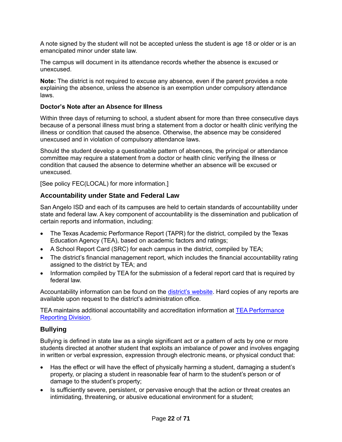A note signed by the student will not be accepted unless the student is age 18 or older or is an emancipated minor under state law.

The campus will document in its attendance records whether the absence is excused or unexcused.

**Note:** The district is not required to excuse any absence, even if the parent provides a note explaining the absence, unless the absence is an exemption under compulsory attendance laws.

#### <span id="page-27-0"></span>**Doctor's Note after an Absence for Illness**

Within three days of returning to school, a student absent for more than three consecutive days because of a personal illness must bring a statement from a doctor or health clinic verifying the illness or condition that caused the absence. Otherwise, the absence may be considered unexcused and in violation of compulsory attendance laws.

Should the student develop a questionable pattern of absences, the principal or attendance committee may require a statement from a doctor or health clinic verifying the illness or condition that caused the absence to determine whether an absence will be excused or unexcused.

[See policy FEC(LOCAL) for more information.]

# <span id="page-27-1"></span>**Accountability under State and Federal Law**

San Angelo ISD and each of its campuses are held to certain standards of accountability under state and federal law. A key component of accountability is the dissemination and publication of certain reports and information, including:

- The Texas Academic Performance Report (TAPR) for the district, compiled by the Texas Education Agency (TEA), based on academic factors and ratings;
- A School Report Card (SRC) for each campus in the district, compiled by TEA;
- The district's financial management report, which includes the financial accountability rating assigned to the district by TEA; and
- Information compiled by TEA for the submission of a federal report card that is required by federal law.

Accountability information can be found on the [district's website.](https://www.saisd.org/District/Accountability) Hard copies of any reports are available upon request to the district's administration office.

TEA maintains additional accountability and accreditation information at [TEA Performance](http://www.tea.texas.gov/perfreport/)  [Reporting Division.](http://www.tea.texas.gov/perfreport/)

### <span id="page-27-2"></span>**Bullying**

Bullying is defined in state law as a single significant act or a pattern of acts by one or more students directed at another student that exploits an imbalance of power and involves engaging in written or verbal expression, expression through electronic means, or physical conduct that:

- Has the effect or will have the effect of physically harming a student, damaging a student's property, or placing a student in reasonable fear of harm to the student's person or of damage to the student's property;
- Is sufficiently severe, persistent, or pervasive enough that the action or threat creates an intimidating, threatening, or abusive educational environment for a student;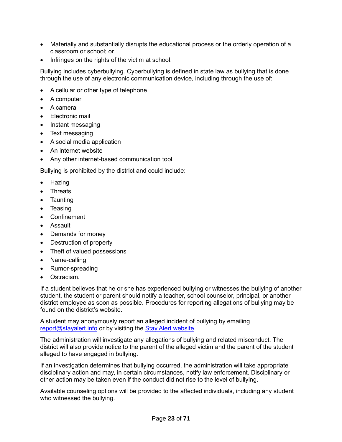- Materially and substantially disrupts the educational process or the orderly operation of a classroom or school; or
- Infringes on the rights of the victim at school.

Bullying includes cyberbullying. Cyberbullying is defined in state law as bullying that is done through the use of any electronic communication device, including through the use of:

- A cellular or other type of telephone
- A computer
- A camera
- Electronic mail
- Instant messaging
- Text messaging
- A social media application
- An internet website
- Any other internet-based communication tool.

Bullying is prohibited by the district and could include:

- Hazing
- **Threats**
- **Taunting**
- Teasing
- Confinement
- Assault
- Demands for money
- Destruction of property
- Theft of valued possessions
- Name-calling
- Rumor-spreading
- Ostracism.

If a student believes that he or she has experienced bullying or witnesses the bullying of another student, the student or parent should notify a teacher, school counselor, principal, or another district employee as soon as possible. Procedures for reporting allegations of bullying may be found on the district's website.

A student may anonymously report an alleged incident of bullying by emailing [report@stayalert.info](mailto:report@stayalert.info) or by visiting the [Stay Alert website.](https://www.stayalert.info/)

The administration will investigate any allegations of bullying and related misconduct. The district will also provide notice to the parent of the alleged victim and the parent of the student alleged to have engaged in bullying.

If an investigation determines that bullying occurred, the administration will take appropriate disciplinary action and may, in certain circumstances, notify law enforcement. Disciplinary or other action may be taken even if the conduct did not rise to the level of bullying.

Available counseling options will be provided to the affected individuals, including any student who witnessed the bullying.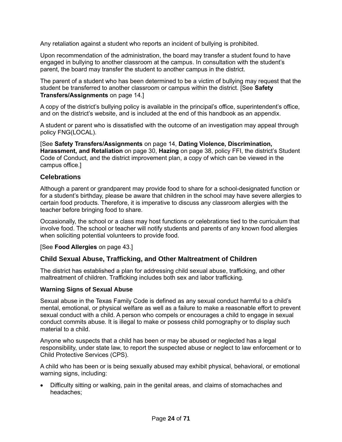Any retaliation against a student who reports an incident of bullying is prohibited.

Upon recommendation of the administration, the board may transfer a student found to have engaged in bullying to another classroom at the campus. In consultation with the student's parent, the board may transfer the student to another campus in the district.

The parent of a student who has been determined to be a victim of bullying may request that the student be transferred to another classroom or campus within the district. [See **Safety Transfers/Assignments** on page [14.](#page-19-3)]

A copy of the district's bullying policy is available in the principal's office, superintendent's office, and on the district's website, and is included at the end of this handbook as an appendix.

A student or parent who is dissatisfied with the outcome of an investigation may appeal through policy FNG(LOCAL).

[See **Safety Transfers/Assignments** on page [14,](#page-19-3) **Dating Violence, Discrimination, Harassment, and Retaliation** on page [30,](#page-35-1) **Hazing** on page [38,](#page-43-5) policy FFI, the district's Student Code of Conduct, and the district improvement plan, a copy of which can be viewed in the campus office.]

# <span id="page-29-0"></span>**Celebrations**

Although a parent or grandparent may provide food to share for a school-designated function or for a student's birthday, please be aware that children in the school may have severe allergies to certain food products. Therefore, it is imperative to discuss any classroom allergies with the teacher before bringing food to share.

Occasionally, the school or a class may host functions or celebrations tied to the curriculum that involve food. The school or teacher will notify students and parents of any known food allergies when soliciting potential volunteers to provide food.

[See **Food Allergies** on page [43.](#page-48-3)]

### <span id="page-29-1"></span>**Child Sexual Abuse, Trafficking, and Other Maltreatment of Children**

The district has established a plan for addressing child sexual abuse, trafficking, and other maltreatment of children. Trafficking includes both sex and labor trafficking.

### <span id="page-29-2"></span>**Warning Signs of Sexual Abuse**

Sexual abuse in the Texas Family Code is defined as any sexual conduct harmful to a child's mental, emotional, or physical welfare as well as a failure to make a reasonable effort to prevent sexual conduct with a child. A person who compels or encourages a child to engage in sexual conduct commits abuse. It is illegal to make or possess child pornography or to display such material to a child.

Anyone who suspects that a child has been or may be abused or neglected has a legal responsibility, under state law, to report the suspected abuse or neglect to law enforcement or to Child Protective Services (CPS).

A child who has been or is being sexually abused may exhibit physical, behavioral, or emotional warning signs, including:

• Difficulty sitting or walking, pain in the genital areas, and claims of stomachaches and headaches;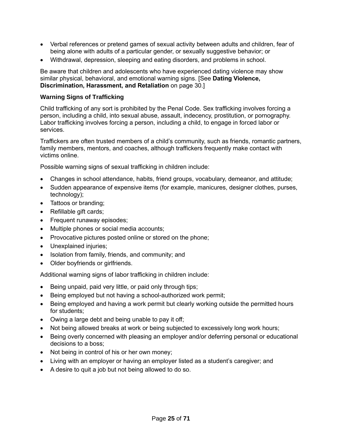- Verbal references or pretend games of sexual activity between adults and children, fear of being alone with adults of a particular gender, or sexually suggestive behavior; or
- Withdrawal, depression, sleeping and eating disorders, and problems in school.

Be aware that children and adolescents who have experienced dating violence may show similar physical, behavioral, and emotional warning signs. [See **Dating Violence, Discrimination, Harassment, and Retaliation** on page [30.](#page-35-1)]

# <span id="page-30-0"></span>**Warning Signs of Trafficking**

Child trafficking of any sort is prohibited by the Penal Code. Sex trafficking involves forcing a person, including a child, into sexual abuse, assault, indecency, prostitution, or pornography. Labor trafficking involves forcing a person, including a child, to engage in forced labor or services.

Traffickers are often trusted members of a child's community, such as friends, romantic partners, family members, mentors, and coaches, although traffickers frequently make contact with victims online.

Possible warning signs of sexual trafficking in children include:

- Changes in school attendance, habits, friend groups, vocabulary, demeanor, and attitude;
- Sudden appearance of expensive items (for example, manicures, designer clothes, purses, technology);
- Tattoos or branding;
- Refillable gift cards;
- Frequent runaway episodes;
- Multiple phones or social media accounts;
- Provocative pictures posted online or stored on the phone;
- Unexplained injuries;
- Isolation from family, friends, and community; and
- Older boyfriends or girlfriends.

Additional warning signs of labor trafficking in children include:

- Being unpaid, paid very little, or paid only through tips;
- Being employed but not having a school-authorized work permit;
- Being employed and having a work permit but clearly working outside the permitted hours for students;
- Owing a large debt and being unable to pay it off;
- Not being allowed breaks at work or being subjected to excessively long work hours;
- Being overly concerned with pleasing an employer and/or deferring personal or educational decisions to a boss;
- Not being in control of his or her own money;
- Living with an employer or having an employer listed as a student's caregiver; and
- A desire to quit a job but not being allowed to do so.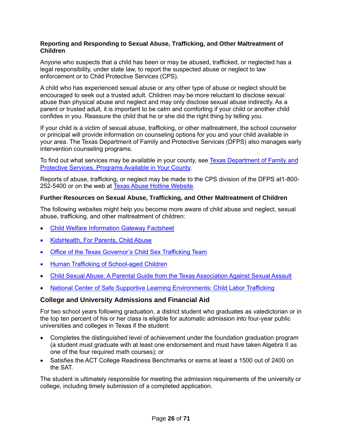#### <span id="page-31-0"></span>**Reporting and Responding to Sexual Abuse, Trafficking, and Other Maltreatment of Children**

Anyone who suspects that a child has been or may be abused, trafficked, or neglected has a legal responsibility, under state law, to report the suspected abuse or neglect to law enforcement or to Child Protective Services (CPS).

A child who has experienced sexual abuse or any other type of abuse or neglect should be encouraged to seek out a trusted adult. Children may be more reluctant to disclose sexual abuse than physical abuse and neglect and may only disclose sexual abuse indirectly. As a parent or trusted adult, it is important to be calm and comforting if your child or another child confides in you. Reassure the child that he or she did the right thing by telling you.

If your child is a victim of sexual abuse, trafficking, or other maltreatment, the school counselor or principal will provide information on counseling options for you and your child available in your area. The Texas Department of Family and Protective Services (DFPS) also manages early intervention counseling programs.

To find out what services may be available in your county, see [Texas Department of Family and](http://www.dfps.state.tx.us/Prevention_and_Early_Intervention/Programs_Available_In_Your_County/default.asp)  [Protective Services, Programs Available in Your County.](http://www.dfps.state.tx.us/Prevention_and_Early_Intervention/Programs_Available_In_Your_County/default.asp)

Reports of abuse, trafficking, or neglect may be made to the CPS division of the DFPS at1-800- 252-5400 or on the web at **Texas Abuse Hotline Website**.

### <span id="page-31-1"></span>**Further Resources on Sexual Abuse, Trafficking, and Other Maltreatment of Children**

The following websites might help you become more aware of child abuse and neglect, sexual abuse, trafficking, and other maltreatment of children:

- [Child Welfare Information Gateway Factsheet](https://www.childwelfare.gov/pubs/factsheets/whatiscan.pdf)
- [KidsHealth, For Parents, Child Abuse](http://kidshealth.org/en/parents/child-abuse.html)
- [Office of the Texas Governor's Child Sex Trafficking Team](https://gov.texas.gov/organization/cjd/childsextrafficking)
- [Human Trafficking of School-aged Children](https://tea.texas.gov/About_TEA/Other_Services/Human_Trafficking_of_School-aged_Children/)
- [Child Sexual Abuse: A Parental Guide from the Texas Association Against Sexual Assault](http://taasa.org/product/child-sexual-abuse-parental-guide/)
- [National Center of Safe Supportive Learning Environments: Child Labor Trafficking](https://safesupportivelearning.ed.gov/human-trafficking-americas-schools/child-labor-trafficking)

# <span id="page-31-2"></span>**College and University Admissions and Financial Aid**

For two school years following graduation, a district student who graduates as valedictorian or in the top ten percent of his or her class is eligible for automatic admission into four-year public universities and colleges in Texas if the student:

- Completes the distinguished level of achievement under the foundation graduation program (a student must graduate with at least one endorsement and must have taken Algebra II as one of the four required math courses); or
- Satisfies the ACT College Readiness Benchmarks or earns at least a 1500 out of 2400 on the SAT.

The student is ultimately responsible for meeting the admission requirements of the university or college, including timely submission of a completed application.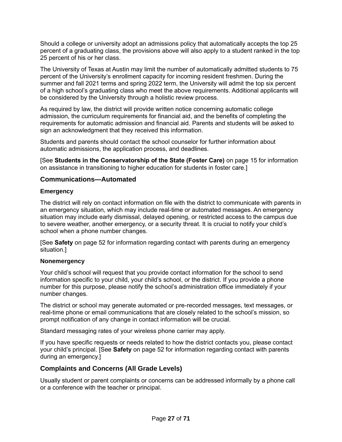Should a college or university adopt an admissions policy that automatically accepts the top 25 percent of a graduating class, the provisions above will also apply to a student ranked in the top 25 percent of his or her class.

The University of Texas at Austin may limit the number of automatically admitted students to 75 percent of the University's enrollment capacity for incoming resident freshmen. During the summer and fall 2021 terms and spring 2022 term, the University will admit the top six percent of a high school's graduating class who meet the above requirements. Additional applicants will be considered by the University through a holistic review process.

As required by law, the district will provide written notice concerning automatic college admission, the curriculum requirements for financial aid, and the benefits of completing the requirements for automatic admission and financial aid. Parents and students will be asked to sign an acknowledgment that they received this information.

Students and parents should contact the school counselor for further information about automatic admissions, the application process, and deadlines.

[See **Students in the Conservatorship of the State (Foster Care)** on page [15](#page-20-1) for information on assistance in transitioning to higher education for students in foster care.]

# <span id="page-32-0"></span>**Communications—Automated**

#### <span id="page-32-1"></span>**Emergency**

The district will rely on contact information on file with the district to communicate with parents in an emergency situation, which may include real-time or automated messages. An emergency situation may include early dismissal, delayed opening, or restricted access to the campus due to severe weather, another emergency, or a security threat. It is crucial to notify your child's school when a phone number changes.

[See **Safety** on page [52](#page-57-1) for information regarding contact with parents during an emergency situation.]

#### <span id="page-32-2"></span>**Nonemergency**

Your child's school will request that you provide contact information for the school to send information specific to your child, your child's school, or the district. If you provide a phone number for this purpose, please notify the school's administration office immediately if your number changes.

The district or school may generate automated or pre-recorded messages, text messages, or real-time phone or email communications that are closely related to the school's mission, so prompt notification of any change in contact information will be crucial.

Standard messaging rates of your wireless phone carrier may apply.

If you have specific requests or needs related to how the district contacts you, please contact your child's principal. [See **Safety** on page [52](#page-57-1) for information regarding contact with parents during an emergency.]

### <span id="page-32-3"></span>**Complaints and Concerns (All Grade Levels)**

Usually student or parent complaints or concerns can be addressed informally by a phone call or a conference with the teacher or principal.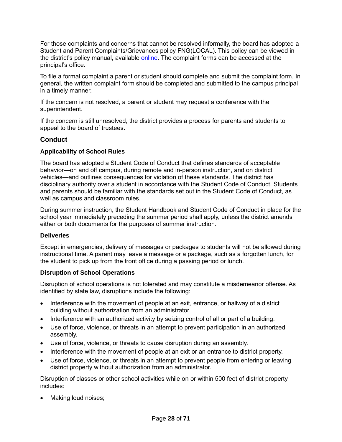For those complaints and concerns that cannot be resolved informally, the board has adopted a Student and Parent Complaints/Grievances policy FNG(LOCAL). This policy can be viewed in the district's policy manual, available **online**. The complaint forms can be accessed at the principal's office.

To file a formal complaint a parent or student should complete and submit the complaint form. In general, the written complaint form should be completed and submitted to the campus principal in a timely manner.

If the concern is not resolved, a parent or student may request a conference with the superintendent.

If the concern is still unresolved, the district provides a process for parents and students to appeal to the board of trustees.

# <span id="page-33-0"></span>**Conduct**

### <span id="page-33-1"></span>**Applicability of School Rules**

The board has adopted a Student Code of Conduct that defines standards of acceptable behavior—on and off campus, during remote and in-person instruction, and on district vehicles—and outlines consequences for violation of these standards. The district has disciplinary authority over a student in accordance with the Student Code of Conduct. Students and parents should be familiar with the standards set out in the Student Code of Conduct, as well as campus and classroom rules.

During summer instruction, the Student Handbook and Student Code of Conduct in place for the school year immediately preceding the summer period shall apply, unless the district amends either or both documents for the purposes of summer instruction.

### <span id="page-33-2"></span>**Deliveries**

Except in emergencies, delivery of messages or packages to students will not be allowed during instructional time. A parent may leave a message or a package, such as a forgotten lunch, for the student to pick up from the front office during a passing period or lunch.

### <span id="page-33-3"></span>**Disruption of School Operations**

Disruption of school operations is not tolerated and may constitute a misdemeanor offense. As identified by state law, disruptions include the following:

- Interference with the movement of people at an exit, entrance, or hallway of a district building without authorization from an administrator.
- Interference with an authorized activity by seizing control of all or part of a building.
- Use of force, violence, or threats in an attempt to prevent participation in an authorized assembly.
- Use of force, violence, or threats to cause disruption during an assembly.
- Interference with the movement of people at an exit or an entrance to district property.
- Use of force, violence, or threats in an attempt to prevent people from entering or leaving district property without authorization from an administrator.

Disruption of classes or other school activities while on or within 500 feet of district property includes:

• Making loud noises;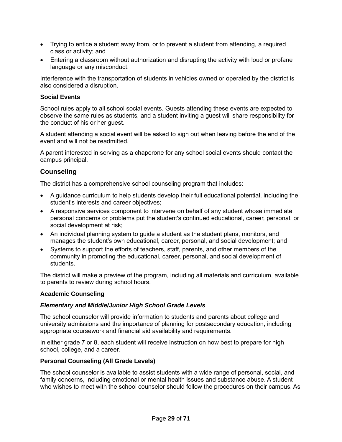- Trying to entice a student away from, or to prevent a student from attending, a required class or activity; and
- Entering a classroom without authorization and disrupting the activity with loud or profane language or any misconduct.

Interference with the transportation of students in vehicles owned or operated by the district is also considered a disruption.

#### <span id="page-34-0"></span>**Social Events**

School rules apply to all school social events. Guests attending these events are expected to observe the same rules as students, and a student inviting a guest will share responsibility for the conduct of his or her guest.

A student attending a social event will be asked to sign out when leaving before the end of the event and will not be readmitted.

A parent interested in serving as a chaperone for any school social events should contact the campus principal.

# <span id="page-34-1"></span>**Counseling**

The district has a comprehensive school counseling program that includes:

- A guidance curriculum to help students develop their full educational potential, including the student's interests and career objectives;
- A responsive services component to intervene on behalf of any student whose immediate personal concerns or problems put the student's continued educational, career, personal, or social development at risk;
- An individual planning system to guide a student as the student plans, monitors, and manages the student's own educational, career, personal, and social development; and
- Systems to support the efforts of teachers, staff, parents, and other members of the community in promoting the educational, career, personal, and social development of students.

The district will make a preview of the program, including all materials and curriculum, available to parents to review during school hours.

#### <span id="page-34-2"></span>**Academic Counseling**

#### *Elementary and Middle/Junior High School Grade Levels*

The school counselor will provide information to students and parents about college and university admissions and the importance of planning for postsecondary education, including appropriate coursework and financial aid availability and requirements.

In either grade 7 or 8, each student will receive instruction on how best to prepare for high school, college, and a career.

#### <span id="page-34-3"></span>**Personal Counseling (All Grade Levels)**

The school counselor is available to assist students with a wide range of personal, social, and family concerns, including emotional or mental health issues and substance abuse. A student who wishes to meet with the school counselor should follow the procedures on their campus. As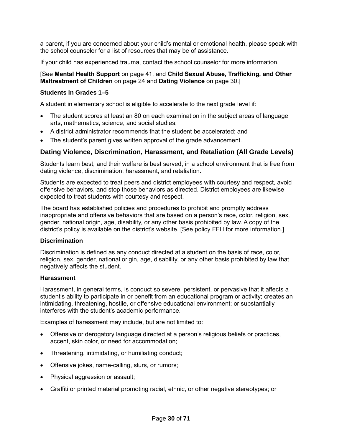a parent, if you are concerned about your child's mental or emotional health, please speak with the school counselor for a list of resources that may be of assistance.

If your child has experienced trauma, contact the school counselor for more information.

#### [See **Mental Health Support** on page [41,](#page-46-2) and **Child Sexual Abuse, Trafficking, and Other Maltreatment of Children** on page [24](#page-29-1) and **Dating Violence** on page [30.](#page-35-4)]

#### <span id="page-35-0"></span>**Students in Grades 1–5**

A student in elementary school is eligible to accelerate to the next grade level if:

- The student scores at least an 80 on each examination in the subject areas of language arts, mathematics, science, and social studies;
- A district administrator recommends that the student be accelerated; and
- The student's parent gives written approval of the grade advancement.

# <span id="page-35-1"></span>**Dating Violence, Discrimination, Harassment, and Retaliation (All Grade Levels)**

<span id="page-35-4"></span>Students learn best, and their welfare is best served, in a school environment that is free from dating violence, discrimination, harassment, and retaliation.

Students are expected to treat peers and district employees with courtesy and respect, avoid offensive behaviors, and stop those behaviors as directed. District employees are likewise expected to treat students with courtesy and respect.

The board has established policies and procedures to prohibit and promptly address inappropriate and offensive behaviors that are based on a person's race, color, religion, sex, gender, national origin, age, disability, or any other basis prohibited by law. A copy of the district's policy is available on the district's website. [See policy FFH for more information.]

#### <span id="page-35-2"></span>**Discrimination**

Discrimination is defined as any conduct directed at a student on the basis of race, color, religion, sex, gender, national origin, age, disability, or any other basis prohibited by law that negatively affects the student.

#### <span id="page-35-3"></span>**Harassment**

Harassment, in general terms, is conduct so severe, persistent, or pervasive that it affects a student's ability to participate in or benefit from an educational program or activity; creates an intimidating, threatening, hostile, or offensive educational environment; or substantially interferes with the student's academic performance.

Examples of harassment may include, but are not limited to:

- Offensive or derogatory language directed at a person's religious beliefs or practices, accent, skin color, or need for accommodation;
- Threatening, intimidating, or humiliating conduct;
- Offensive jokes, name-calling, slurs, or rumors;
- Physical aggression or assault;
- Graffiti or printed material promoting racial, ethnic, or other negative stereotypes; or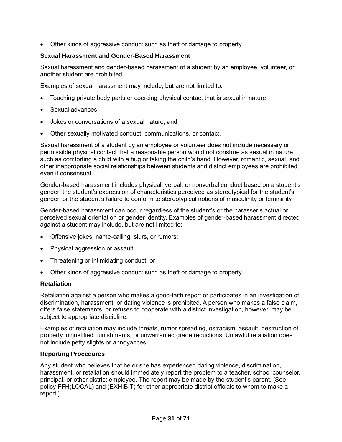• Other kinds of aggressive conduct such as theft or damage to property.

## <span id="page-36-0"></span>**Sexual Harassment and Gender-Based Harassment**

Sexual harassment and gender-based harassment of a student by an employee, volunteer, or another student are prohibited.

Examples of sexual harassment may include, but are not limited to:

- Touching private body parts or coercing physical contact that is sexual in nature;
- Sexual advances;
- Jokes or conversations of a sexual nature; and
- Other sexually motivated conduct, communications, or contact.

Sexual harassment of a student by an employee or volunteer does not include necessary or permissible physical contact that a reasonable person would not construe as sexual in nature, such as comforting a child with a hug or taking the child's hand. However, romantic, sexual, and other inappropriate social relationships between students and district employees are prohibited, even if consensual.

Gender-based harassment includes physical, verbal, or nonverbal conduct based on a student's gender, the student's expression of characteristics perceived as stereotypical for the student's gender, or the student's failure to conform to stereotypical notions of masculinity or femininity.

Gender-based harassment can occur regardless of the student's or the harasser's actual or perceived sexual orientation or gender identity. Examples of gender-based harassment directed against a student may include, but are not limited to:

- Offensive jokes, name-calling, slurs, or rumors;
- Physical aggression or assault;
- Threatening or intimidating conduct; or
- Other kinds of aggressive conduct such as theft or damage to property.

### <span id="page-36-1"></span>**Retaliation**

Retaliation against a person who makes a good-faith report or participates in an investigation of discrimination, harassment, or dating violence is prohibited. A person who makes a false claim, offers false statements, or refuses to cooperate with a district investigation, however, may be subject to appropriate discipline.

Examples of retaliation may include threats, rumor spreading, ostracism, assault, destruction of property, unjustified punishments, or unwarranted grade reductions. Unlawful retaliation does not include petty slights or annoyances.

### <span id="page-36-2"></span>**Reporting Procedures**

Any student who believes that he or she has experienced dating violence, discrimination, harassment, or retaliation should immediately report the problem to a teacher, school counselor, principal, or other district employee. The report may be made by the student's parent. [See policy FFH(LOCAL) and (EXHIBIT) for other appropriate district officials to whom to make a report.]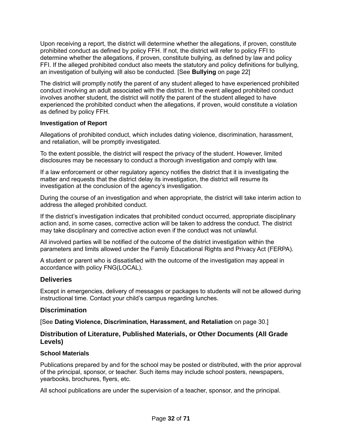Upon receiving a report, the district will determine whether the allegations, if proven, constitute prohibited conduct as defined by policy FFH. If not, the district will refer to policy FFI to determine whether the allegations, if proven, constitute bullying, as defined by law and policy FFI. If the alleged prohibited conduct also meets the statutory and policy definitions for bullying, an investigation of bullying will also be conducted. [See **Bullying** on page [22\]](#page-27-2)

The district will promptly notify the parent of any student alleged to have experienced prohibited conduct involving an adult associated with the district. In the event alleged prohibited conduct involves another student, the district will notify the parent of the student alleged to have experienced the prohibited conduct when the allegations, if proven, would constitute a violation as defined by policy FFH.

### <span id="page-37-0"></span>**Investigation of Report**

Allegations of prohibited conduct, which includes dating violence, discrimination, harassment, and retaliation, will be promptly investigated.

To the extent possible, the district will respect the privacy of the student. However, limited disclosures may be necessary to conduct a thorough investigation and comply with law.

If a law enforcement or other regulatory agency notifies the district that it is investigating the matter and requests that the district delay its investigation, the district will resume its investigation at the conclusion of the agency's investigation.

During the course of an investigation and when appropriate, the district will take interim action to address the alleged prohibited conduct.

If the district's investigation indicates that prohibited conduct occurred, appropriate disciplinary action and, in some cases, corrective action will be taken to address the conduct. The district may take disciplinary and corrective action even if the conduct was not unlawful.

All involved parties will be notified of the outcome of the district investigation within the parameters and limits allowed under the Family Educational Rights and Privacy Act (FERPA).

A student or parent who is dissatisfied with the outcome of the investigation may appeal in accordance with policy FNG(LOCAL).

### <span id="page-37-1"></span>**Deliveries**

Except in emergencies, delivery of messages or packages to students will not be allowed during instructional time. Contact your child's campus regarding lunches.

### <span id="page-37-2"></span>**Discrimination**

[See **Dating Violence, Discrimination, Harassment, and Retaliation** on page [30.](#page-35-1)]

# <span id="page-37-3"></span>**Distribution of Literature, Published Materials, or Other Documents (All Grade Levels)**

### <span id="page-37-4"></span>**School Materials**

Publications prepared by and for the school may be posted or distributed, with the prior approval of the principal, sponsor, or teacher. Such items may include school posters, newspapers, yearbooks, brochures, flyers, etc.

All school publications are under the supervision of a teacher, sponsor, and the principal.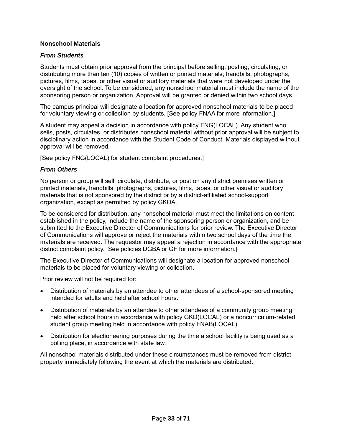#### <span id="page-38-0"></span>**Nonschool Materials**

#### *From Students*

Students must obtain prior approval from the principal before selling, posting, circulating, or distributing more than ten (10) copies of written or printed materials, handbills, photographs, pictures, films, tapes, or other visual or auditory materials that were not developed under the oversight of the school. To be considered, any nonschool material must include the name of the sponsoring person or organization. Approval will be granted or denied within two school days.

The campus principal will designate a location for approved nonschool materials to be placed for voluntary viewing or collection by students. [See policy FNAA for more information.]

A student may appeal a decision in accordance with policy FNG(LOCAL). Any student who sells, posts, circulates, or distributes nonschool material without prior approval will be subject to disciplinary action in accordance with the Student Code of Conduct. Materials displayed without approval will be removed.

[See policy FNG(LOCAL) for student complaint procedures.]

#### *From Others*

No person or group will sell, circulate, distribute, or post on any district premises written or printed materials, handbills, photographs, pictures, films, tapes, or other visual or auditory materials that is not sponsored by the district or by a district-affiliated school-support organization, except as permitted by policy GKDA.

To be considered for distribution, any nonschool material must meet the limitations on content established in the policy, include the name of the sponsoring person or organization, and be submitted to the Executive Director of Communications for prior review. The Executive Director of Communications will approve or reject the materials within two school days of the time the materials are received. The requestor may appeal a rejection in accordance with the appropriate district complaint policy. [See policies DGBA or GF for more information.]

The Executive Director of Communications will designate a location for approved nonschool materials to be placed for voluntary viewing or collection.

Prior review will not be required for:

- Distribution of materials by an attendee to other attendees of a school-sponsored meeting intended for adults and held after school hours.
- Distribution of materials by an attendee to other attendees of a community group meeting held after school hours in accordance with policy GKD(LOCAL) or a noncurriculum-related student group meeting held in accordance with policy FNAB(LOCAL).
- Distribution for electioneering purposes during the time a school facility is being used as a polling place, in accordance with state law.

All nonschool materials distributed under these circumstances must be removed from district property immediately following the event at which the materials are distributed.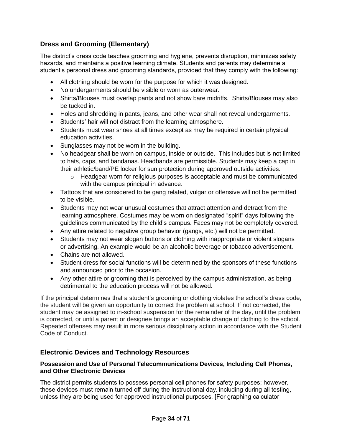# <span id="page-39-0"></span>**Dress and Grooming (Elementary)**

<span id="page-39-3"></span>The district's dress code teaches grooming and hygiene, prevents disruption, minimizes safety hazards, and maintains a positive learning climate. Students and parents may determine a student's personal dress and grooming standards, provided that they comply with the following:

- All clothing should be worn for the purpose for which it was designed.
- No undergarments should be visible or worn as outerwear.
- Shirts/Blouses must overlap pants and not show bare midriffs. Shirts/Blouses may also be tucked in.
- Holes and shredding in pants, jeans, and other wear shall not reveal undergarments.
- Students' hair will not distract from the learning atmosphere.
- Students must wear shoes at all times except as may be required in certain physical education activities.
- Sunglasses may not be worn in the building.
- No headgear shall be worn on campus, inside or outside. This includes but is not limited to hats, caps, and bandanas. Headbands are permissible. Students may keep a cap in their athletic/band/PE locker for sun protection during approved outside activities.
	- o Headgear worn for religious purposes is acceptable and must be communicated with the campus principal in advance.
- Tattoos that are considered to be gang related, vulgar or offensive will not be permitted to be visible.
- Students may not wear unusual costumes that attract attention and detract from the learning atmosphere. Costumes may be worn on designated "spirit" days following the guidelines communicated by the child's campus. Faces may not be completely covered.
- Any attire related to negative group behavior (gangs, etc.) will not be permitted.
- Students may not wear slogan buttons or clothing with inappropriate or violent slogans or advertising. An example would be an alcoholic beverage or tobacco advertisement.
- Chains are not allowed.
- Student dress for social functions will be determined by the sponsors of these functions and announced prior to the occasion.
- Any other attire or grooming that is perceived by the campus administration, as being detrimental to the education process will not be allowed.

If the principal determines that a student's grooming or clothing violates the school's dress code, the student will be given an opportunity to correct the problem at school. If not corrected, the student may be assigned to in-school suspension for the remainder of the day, until the problem is corrected, or until a parent or designee brings an acceptable change of clothing to the school. Repeated offenses may result in more serious disciplinary action in accordance with the Student Code of Conduct.

# <span id="page-39-1"></span>**Electronic Devices and Technology Resources**

# <span id="page-39-2"></span>**Possession and Use of Personal Telecommunications Devices, Including Cell Phones, and Other Electronic Devices**

The district permits students to possess personal cell phones for safety purposes; however, these devices must remain turned off during the instructional day, including during all testing, unless they are being used for approved instructional purposes. [For graphing calculator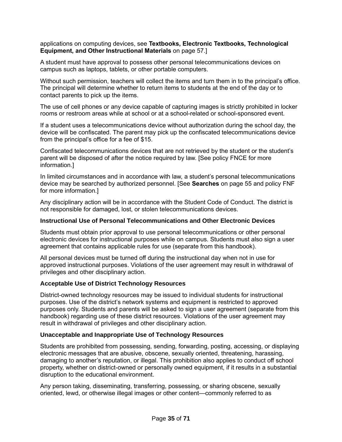applications on computing devices, see **Textbooks, Electronic Textbooks, Technological Equipment, and Other Instructional Materials** on page [57.](#page-62-3)]

A student must have approval to possess other personal telecommunications devices on campus such as laptops, tablets, or other portable computers.

Without such permission, teachers will collect the items and turn them in to the principal's office. The principal will determine whether to return items to students at the end of the day or to contact parents to pick up the items.

The use of cell phones or any device capable of capturing images is strictly prohibited in locker rooms or restroom areas while at school or at a school-related or school-sponsored event.

If a student uses a telecommunications device without authorization during the school day, the device will be confiscated. The parent may pick up the confiscated telecommunications device from the principal's office for a fee of \$15.

Confiscated telecommunications devices that are not retrieved by the student or the student's parent will be disposed of after the notice required by law. [See policy FNCE for more information.]

In limited circumstances and in accordance with law, a student's personal telecommunications device may be searched by authorized personnel. [See **Searches** on page [55](#page-60-1) and policy FNF for more information.]

Any disciplinary action will be in accordance with the Student Code of Conduct. The district is not responsible for damaged, lost, or stolen telecommunications devices.

#### <span id="page-40-0"></span>**Instructional Use of Personal Telecommunications and Other Electronic Devices**

Students must obtain prior approval to use personal telecommunications or other personal electronic devices for instructional purposes while on campus. Students must also sign a user agreement that contains applicable rules for use (separate from this handbook).

All personal devices must be turned off during the instructional day when not in use for approved instructional purposes. Violations of the user agreement may result in withdrawal of privileges and other disciplinary action.

#### <span id="page-40-1"></span>**Acceptable Use of District Technology Resources**

District-owned technology resources may be issued to individual students for instructional purposes. Use of the district's network systems and equipment is restricted to approved purposes only. Students and parents will be asked to sign a user agreement (separate from this handbook) regarding use of these district resources. Violations of the user agreement may result in withdrawal of privileges and other disciplinary action.

#### <span id="page-40-2"></span>**Unacceptable and Inappropriate Use of Technology Resources**

Students are prohibited from possessing, sending, forwarding, posting, accessing, or displaying electronic messages that are abusive, obscene, sexually oriented, threatening, harassing, damaging to another's reputation, or illegal. This prohibition also applies to conduct off school property, whether on district-owned or personally owned equipment, if it results in a substantial disruption to the educational environment.

Any person taking, disseminating, transferring, possessing, or sharing obscene, sexually oriented, lewd, or otherwise illegal images or other content—commonly referred to as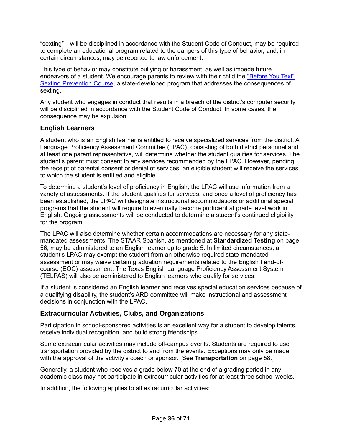"sexting"—will be disciplined in accordance with the Student Code of Conduct, may be required to complete an educational program related to the dangers of this type of behavior, and, in certain circumstances, may be reported to law enforcement.

This type of behavior may constitute bullying or harassment, as well as impede future endeavors of a student. We encourage parents to review with their child the ["Before You Text"](https://txssc.txstate.edu/tools/courses/before-you-text/)  [Sexting Prevention Course,](https://txssc.txstate.edu/tools/courses/before-you-text/) a state-developed program that addresses the consequences of sexting.

Any student who engages in conduct that results in a breach of the district's computer security will be disciplined in accordance with the Student Code of Conduct. In some cases, the consequence may be expulsion.

# <span id="page-41-0"></span>**English Learners**

A student who is an English learner is entitled to receive specialized services from the district. A Language Proficiency Assessment Committee (LPAC), consisting of both district personnel and at least one parent representative, will determine whether the student qualifies for services. The student's parent must consent to any services recommended by the LPAC. However, pending the receipt of parental consent or denial of services, an eligible student will receive the services to which the student is entitled and eligible.

To determine a student's level of proficiency in English, the LPAC will use information from a variety of assessments. If the student qualifies for services, and once a level of proficiency has been established, the LPAC will designate instructional accommodations or additional special programs that the student will require to eventually become proficient at grade level work in English. Ongoing assessments will be conducted to determine a student's continued eligibility for the program.

The LPAC will also determine whether certain accommodations are necessary for any statemandated assessments. The STAAR Spanish, as mentioned at **Standardized Testing** on page [56,](#page-61-4) may be administered to an English learner up to grade 5. In limited circumstances, a student's LPAC may exempt the student from an otherwise required state-mandated assessment or may waive certain graduation requirements related to the English I end-ofcourse (EOC) assessment. The Texas English Language Proficiency Assessment System (TELPAS) will also be administered to English learners who qualify for services.

If a student is considered an English learner and receives special education services because of a qualifying disability, the student's ARD committee will make instructional and assessment decisions in conjunction with the LPAC.

# <span id="page-41-1"></span>**Extracurricular Activities, Clubs, and Organizations**

Participation in school-sponsored activities is an excellent way for a student to develop talents, receive individual recognition, and build strong friendships.

Some extracurricular activities may include off-campus events. Students are required to use transportation provided by the district to and from the events. Exceptions may only be made with the approval of the activity's coach or sponsor. [See **Transportation** on page [58.](#page-63-1)]

Generally, a student who receives a grade below 70 at the end of a grading period in any academic class may not participate in extracurricular activities for at least three school weeks.

In addition, the following applies to all extracurricular activities: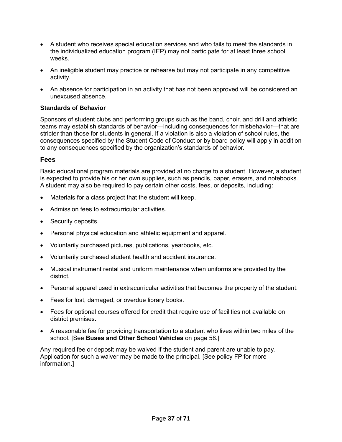- A student who receives special education services and who fails to meet the standards in the individualized education program (IEP) may not participate for at least three school weeks.
- An ineligible student may practice or rehearse but may not participate in any competitive activity.
- An absence for participation in an activity that has not been approved will be considered an unexcused absence.

# <span id="page-42-0"></span>**Standards of Behavior**

Sponsors of student clubs and performing groups such as the band, choir, and drill and athletic teams may establish standards of behavior—including consequences for misbehavior—that are stricter than those for students in general. If a violation is also a violation of school rules, the consequences specified by the Student Code of Conduct or by board policy will apply in addition to any consequences specified by the organization's standards of behavior.

# <span id="page-42-1"></span>**Fees**

Basic educational program materials are provided at no charge to a student. However, a student is expected to provide his or her own supplies, such as pencils, paper, erasers, and notebooks. A student may also be required to pay certain other costs, fees, or deposits, including:

- Materials for a class project that the student will keep.
- Admission fees to extracurricular activities.
- Security deposits.
- Personal physical education and athletic equipment and apparel.
- Voluntarily purchased pictures, publications, yearbooks, etc.
- Voluntarily purchased student health and accident insurance.
- Musical instrument rental and uniform maintenance when uniforms are provided by the district.
- Personal apparel used in extracurricular activities that becomes the property of the student.
- Fees for lost, damaged, or overdue library books.
- Fees for optional courses offered for credit that require use of facilities not available on district premises.
- A reasonable fee for providing transportation to a student who lives within two miles of the school. [See **Buses and Other School Vehicles** on page [58.](#page-63-3)]

Any required fee or deposit may be waived if the student and parent are unable to pay. Application for such a waiver may be made to the principal. [See policy FP for more information.]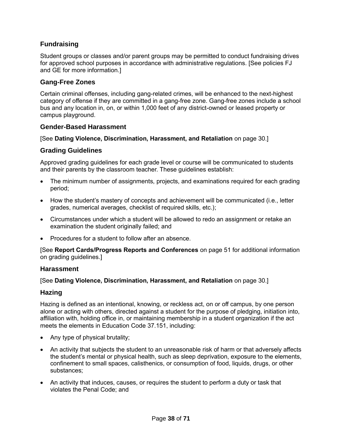# <span id="page-43-0"></span>**Fundraising**

Student groups or classes and/or parent groups may be permitted to conduct fundraising drives for approved school purposes in accordance with administrative regulations. [See policies FJ and GE for more information.]

# <span id="page-43-1"></span>**Gang-Free Zones**

Certain criminal offenses, including gang-related crimes, will be enhanced to the next-highest category of offense if they are committed in a gang-free zone. Gang-free zones include a school bus and any location in, on, or within 1,000 feet of any district-owned or leased property or campus playground.

# <span id="page-43-2"></span>**Gender-Based Harassment**

[See **Dating Violence, Discrimination, Harassment, and Retaliation** on page [30.](#page-35-1)]

# <span id="page-43-3"></span>**Grading Guidelines**

Approved grading guidelines for each grade level or course will be communicated to students and their parents by the classroom teacher. These guidelines establish:

- The minimum number of assignments, projects, and examinations required for each grading period;
- How the student's mastery of concepts and achievement will be communicated (i.e., letter grades, numerical averages, checklist of required skills, etc.);
- Circumstances under which a student will be allowed to redo an assignment or retake an examination the student originally failed; and
- Procedures for a student to follow after an absence.

[See **Report Cards/Progress Reports and Conferences** on page [51](#page-56-2) for additional information on grading guidelines.]

### <span id="page-43-4"></span>**Harassment**

### [See **Dating Violence, Discrimination, Harassment, and Retaliation** on page [30.](#page-35-1)]

### <span id="page-43-5"></span>**Hazing**

Hazing is defined as an intentional, knowing, or reckless act, on or off campus, by one person alone or acting with others, directed against a student for the purpose of pledging, initiation into, affiliation with, holding office in, or maintaining membership in a student organization if the act meets the elements in Education Code 37.151, including:

- Any type of physical brutality;
- An activity that subjects the student to an unreasonable risk of harm or that adversely affects the student's mental or physical health, such as sleep deprivation, exposure to the elements, confinement to small spaces, calisthenics, or consumption of food, liquids, drugs, or other substances;
- An activity that induces, causes, or requires the student to perform a duty or task that violates the Penal Code; and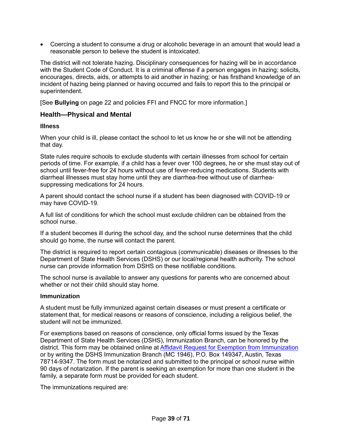• Coercing a student to consume a drug or alcoholic beverage in an amount that would lead a reasonable person to believe the student is intoxicated.

The district will not tolerate hazing. Disciplinary consequences for hazing will be in accordance with the Student Code of Conduct. It is a criminal offense if a person engages in hazing; solicits, encourages, directs, aids, or attempts to aid another in hazing; or has firsthand knowledge of an incident of hazing being planned or having occurred and fails to report this to the principal or superintendent.

[See **Bullying** on page [22](#page-27-2) and policies FFI and FNCC for more information.]

### <span id="page-44-0"></span>**Health—Physical and Mental**

#### <span id="page-44-1"></span>**Illness**

When your child is ill, please contact the school to let us know he or she will not be attending that day.

State rules require schools to exclude students with certain illnesses from school for certain periods of time. For example, if a child has a fever over 100 degrees, he or she must stay out of school until fever-free for 24 hours without use of fever-reducing medications. Students with diarrheal illnesses must stay home until they are diarrhea-free without use of diarrheasuppressing medications for 24 hours.

A parent should contact the school nurse if a student has been diagnosed with COVID-19 or may have COVID-19.

A full list of conditions for which the school must exclude children can be obtained from the school nurse.

If a student becomes ill during the school day, and the school nurse determines that the child should go home, the nurse will contact the parent.

The district is required to report certain contagious (communicable) diseases or illnesses to the Department of State Health Services (DSHS) or our local/regional health authority. The school nurse can provide information from DSHS on these notifiable conditions.

The school nurse is available to answer any questions for parents who are concerned about whether or not their child should stay home.

#### <span id="page-44-2"></span>**Immunization**

A student must be fully immunized against certain diseases or must present a certificate or statement that, for medical reasons or reasons of conscience, including a religious belief, the student will not be immunized.

For exemptions based on reasons of conscience, only official forms issued by the Texas Department of State Health Services (DSHS), Immunization Branch, can be honored by the district. This form may be obtained online at [Affidavit Request for Exemption from Immunization](https://corequest.dshs.texas.gov/) or by writing the DSHS Immunization Branch (MC 1946), P.O. Box 149347, Austin, Texas 78714-9347. The form must be notarized and submitted to the principal or school nurse within 90 days of notarization. If the parent is seeking an exemption for more than one student in the family, a separate form must be provided for each student.

The immunizations required are: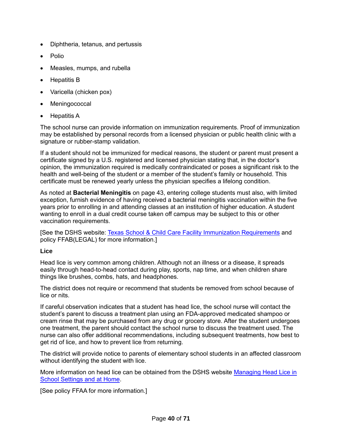- Diphtheria, tetanus, and pertussis
- Polio
- Measles, mumps, and rubella
- Hepatitis B
- Varicella (chicken pox)
- **Meningococcal**
- Hepatitis A

The school nurse can provide information on immunization requirements. Proof of immunization may be established by personal records from a licensed physician or public health clinic with a signature or rubber-stamp validation.

If a student should not be immunized for medical reasons, the student or parent must present a certificate signed by a U.S. registered and licensed physician stating that, in the doctor's opinion, the immunization required is medically contraindicated or poses a significant risk to the health and well-being of the student or a member of the student's family or household. This certificate must be renewed yearly unless the physician specifies a lifelong condition.

As noted at **Bacterial Meningitis** on page [43,](#page-48-4) entering college students must also, with limited exception, furnish evidence of having received a bacterial meningitis vaccination within the five years prior to enrolling in and attending classes at an institution of higher education. A student wanting to enroll in a dual credit course taken off campus may be subject to this or other vaccination requirements.

[See the DSHS website: [Texas School & Child Care Facility Immunization Requirements](http://www.dshs.state.tx.us/immunize/school/default.shtm) and policy FFAB(LEGAL) for more information.]

### <span id="page-45-0"></span>**Lice**

Head lice is very common among children. Although not an illness or a disease, it spreads easily through head-to-head contact during play, sports, nap time, and when children share things like brushes, combs, hats, and headphones.

The district does not require or recommend that students be removed from school because of lice or nits.

If careful observation indicates that a student has head lice, the school nurse will contact the student's parent to discuss a treatment plan using an FDA-approved medicated shampoo or cream rinse that may be purchased from any drug or grocery store. After the student undergoes one treatment, the parent should contact the school nurse to discuss the treatment used. The nurse can also offer additional recommendations, including subsequent treatments, how best to get rid of lice, and how to prevent lice from returning.

The district will provide notice to parents of elementary school students in an affected classroom without identifying the student with lice.

More information on head lice can be obtained from the DSHS website [Managing Head Lice in](http://www.dshs.state.tx.us/schoolhealth/lice.shtm)  [School Settings and at Home.](http://www.dshs.state.tx.us/schoolhealth/lice.shtm)

[See policy FFAA for more information.]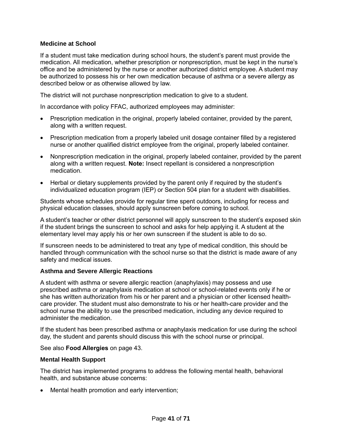## <span id="page-46-0"></span>**Medicine at School**

If a student must take medication during school hours, the student's parent must provide the medication. All medication, whether prescription or nonprescription, must be kept in the nurse's office and be administered by the nurse or another authorized district employee. A student may be authorized to possess his or her own medication because of asthma or a severe allergy as described below or as otherwise allowed by law.

The district will not purchase nonprescription medication to give to a student.

In accordance with policy FFAC, authorized employees may administer:

- Prescription medication in the original, properly labeled container, provided by the parent, along with a written request.
- Prescription medication from a properly labeled unit dosage container filled by a registered nurse or another qualified district employee from the original, properly labeled container.
- Nonprescription medication in the original, properly labeled container, provided by the parent along with a written request. **Note:** Insect repellant is considered a nonprescription medication.
- Herbal or dietary supplements provided by the parent only if required by the student's individualized education program (IEP) or Section 504 plan for a student with disabilities.

Students whose schedules provide for regular time spent outdoors, including for recess and physical education classes, should apply sunscreen before coming to school.

A student's teacher or other district personnel will apply sunscreen to the student's exposed skin if the student brings the sunscreen to school and asks for help applying it. A student at the elementary level may apply his or her own sunscreen if the student is able to do so.

If sunscreen needs to be administered to treat any type of medical condition, this should be handled through communication with the school nurse so that the district is made aware of any safety and medical issues.

### <span id="page-46-1"></span>**Asthma and Severe Allergic Reactions**

A student with asthma or severe allergic reaction (anaphylaxis) may possess and use prescribed asthma or anaphylaxis medication at school or school-related events only if he or she has written authorization from his or her parent and a physician or other licensed healthcare provider. The student must also demonstrate to his or her health-care provider and the school nurse the ability to use the prescribed medication, including any device required to administer the medication.

If the student has been prescribed asthma or anaphylaxis medication for use during the school day, the student and parents should discuss this with the school nurse or principal.

### See also **Food Allergies** on page [43.](#page-48-3)

### <span id="page-46-2"></span>**Mental Health Support**

The district has implemented programs to address the following mental health, behavioral health, and substance abuse concerns:

Mental health promotion and early intervention;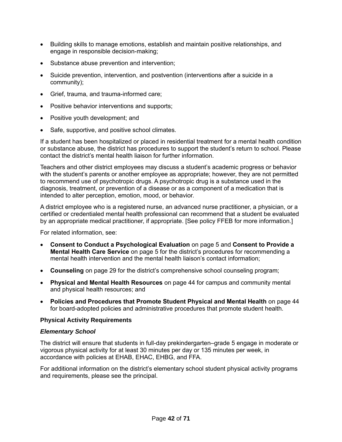- Building skills to manage emotions, establish and maintain positive relationships, and engage in responsible decision-making;
- Substance abuse prevention and intervention;
- Suicide prevention, intervention, and postvention (interventions after a suicide in a community);
- Grief, trauma, and trauma-informed care;
- Positive behavior interventions and supports;
- Positive youth development; and
- Safe, supportive, and positive school climates.

If a student has been hospitalized or placed in residential treatment for a mental health condition or substance abuse, the district has procedures to support the student's return to school. Please contact the district's mental health liaison for further information.

Teachers and other district employees may discuss a student's academic progress or behavior with the student's parents or another employee as appropriate; however, they are not permitted to recommend use of psychotropic drugs. A psychotropic drug is a substance used in the diagnosis, treatment, or prevention of a disease or as a component of a medication that is intended to alter perception, emotion, mood, or behavior.

A district employee who is a registered nurse, an advanced nurse practitioner, a physician, or a certified or credentialed mental health professional can recommend that a student be evaluated by an appropriate medical practitioner, if appropriate. [See policy FFEB for more information.]

For related information, see:

- **Consent to Conduct a Psychological Evaluation** on page [5](#page-10-2) and **Consent to Provide a Mental Health Care Service** on page [5](#page-10-3) for the district's procedures for recommending a mental health intervention and the mental health liaison's contact information;
- **Counseling** on page [29](#page-34-1) for the district's comprehensive school counseling program;
- **Physical and Mental Health Resources** on page [44](#page-49-2) for campus and community mental and physical health resources; and
- **Policies and Procedures that Promote Student Physical and Mental Health** on page [44](#page-49-3) for board-adopted policies and administrative procedures that promote student health.

### <span id="page-47-0"></span>**Physical Activity Requirements**

### *Elementary School*

The district will ensure that students in full-day prekindergarten–grade 5 engage in moderate or vigorous physical activity for at least 30 minutes per day or 135 minutes per week, in accordance with policies at EHAB, EHAC, EHBG, and FFA.

For additional information on the district's elementary school student physical activity programs and requirements, please see the principal.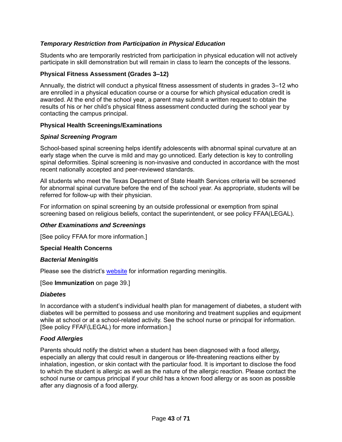# *Temporary Restriction from Participation in Physical Education*

Students who are temporarily restricted from participation in physical education will not actively participate in skill demonstration but will remain in class to learn the concepts of the lessons.

### <span id="page-48-0"></span>**Physical Fitness Assessment (Grades 3–12)**

Annually, the district will conduct a physical fitness assessment of students in grades 3–12 who are enrolled in a physical education course or a course for which physical education credit is awarded. At the end of the school year, a parent may submit a written request to obtain the results of his or her child's physical fitness assessment conducted during the school year by contacting the campus principal.

#### <span id="page-48-1"></span>**Physical Health Screenings/Examinations**

### *Spinal Screening Program*

School-based spinal screening helps identify adolescents with abnormal spinal curvature at an early stage when the curve is mild and may go unnoticed. Early detection is key to controlling spinal deformities. Spinal screening is non-invasive and conducted in accordance with the most recent nationally accepted and peer-reviewed standards.

All students who meet the Texas Department of State Health Services criteria will be screened for abnormal spinal curvature before the end of the school year. As appropriate, students will be referred for follow-up with their physician.

For information on spinal screening by an outside professional or exemption from spinal screening based on religious beliefs, contact the superintendent, or see policy FFAA(LEGAL).

#### *Other Examinations and Screenings*

[See policy FFAA for more information.]

#### <span id="page-48-2"></span>**Special Health Concerns**

#### <span id="page-48-4"></span>*Bacterial Meningitis*

Please see the district's [website](http://www.saisd.org/) for information regarding meningitis.

[See **Immunization** on page [39.](#page-44-2)]

#### *Diabetes*

In accordance with a student's individual health plan for management of diabetes, a student with diabetes will be permitted to possess and use monitoring and treatment supplies and equipment while at school or at a school-related activity. See the school nurse or principal for information. [See policy FFAF(LEGAL) for more information.]

#### <span id="page-48-3"></span>*Food Allergies*

Parents should notify the district when a student has been diagnosed with a food allergy, especially an allergy that could result in dangerous or life-threatening reactions either by inhalation, ingestion, or skin contact with the particular food. It is important to disclose the food to which the student is allergic as well as the nature of the allergic reaction. Please contact the school nurse or campus principal if your child has a known food allergy or as soon as possible after any diagnosis of a food allergy.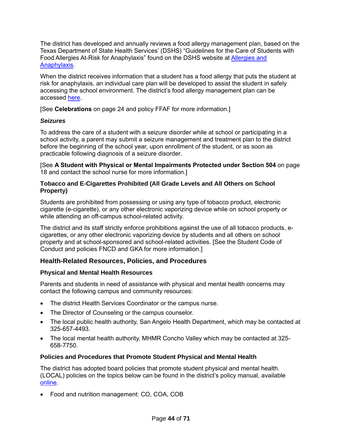The district has developed and annually reviews a food allergy management plan, based on the Texas Department of State Health Services' (DSHS) "Guidelines for the Care of Students with Food Allergies At-Risk for Anaphylaxis" found on the DSHS website at **Allergies and** [Anaphylaxis.](https://www.dshs.texas.gov/schoolhealth/allergiesandanaphylaxis/)

When the district receives information that a student has a food allergy that puts the student at risk for anaphylaxis, an individual care plan will be developed to assist the student in safely accessing the school environment. The district's food allergy management plan can be accessed [here.](https://www.saisd.org/Departments/Health-Services/Allergy)

[See **Celebrations** on page [24](#page-29-0) and policy FFAF for more information.]

# *Seizures*

To address the care of a student with a seizure disorder while at school or participating in a school activity, a parent may submit a seizure management and treatment plan to the district before the beginning of the school year, upon enrollment of the student, or as soon as practicable following diagnosis of a seizure disorder.

[See **A Student with Physical or Mental Impairments Protected under Section 504** on page [18](#page-23-1) and contact the school nurse for more information.]

## <span id="page-49-0"></span>**Tobacco and E-Cigarettes Prohibited (All Grade Levels and All Others on School Property)**

Students are prohibited from possessing or using any type of tobacco product, electronic cigarette (e-cigarette), or any other electronic vaporizing device while on school property or while attending an off-campus school-related activity.

The district and its staff strictly enforce prohibitions against the use of all tobacco products, ecigarettes, or any other electronic vaporizing device by students and all others on school property and at school-sponsored and school-related activities. [See the Student Code of Conduct and policies FNCD and GKA for more information.]

# <span id="page-49-1"></span>**Health-Related Resources, Policies, and Procedures**

# <span id="page-49-2"></span>**Physical and Mental Health Resources**

Parents and students in need of assistance with physical and mental health concerns may contact the following campus and community resources:

- The district Health Services Coordinator or the campus nurse.
- The Director of Counseling or the campus counselor.
- The local public health authority, San Angelo Health Department, which may be contacted at 325-657-4493.
- The local mental health authority, MHMR Concho Valley which may be contacted at 325- 658-7750.

# <span id="page-49-3"></span>**Policies and Procedures that Promote Student Physical and Mental Health**

The district has adopted board policies that promote student physical and mental health. (LOCAL) policies on the topics below can be found in the district's policy manual, available [online.](https://pol.tasb.org/Home/Index/1139)

• Food and nutrition management: CO, COA, COB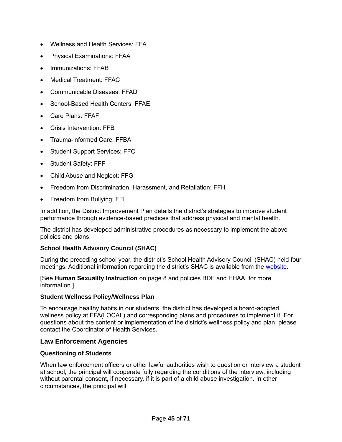- Wellness and Health Services: FFA
- Physical Examinations: FFAA
- Immunizations: FFAB
- Medical Treatment: FFAC
- Communicable Diseases: FFAD
- School-Based Health Centers: FFAE
- Care Plans: FFAF
- Crisis Intervention: FFB
- Trauma-informed Care: FFBA
- Student Support Services: FFC
- Student Safety: FFF
- Child Abuse and Neglect: FFG
- Freedom from Discrimination, Harassment, and Retaliation: FFH
- Freedom from Bullying: FFI

In addition, the District Improvement Plan details the district's strategies to improve student performance through evidence-based practices that address physical and mental health.

The district has developed administrative procedures as necessary to implement the above policies and plans.

### <span id="page-50-0"></span>**School Health Advisory Council (SHAC)**

During the preceding school year, the district's School Health Advisory Council (SHAC) held four meetings. Additional information regarding the district's SHAC is available from the [website.](https://www.saisd.org/Departments/Health-Services/SHAC)

[See **Human Sexuality Instruction** on page [8](#page-13-1) and policies BDF and EHAA. for more information.]

### <span id="page-50-1"></span>**Student Wellness Policy/Wellness Plan**

To encourage healthy habits in our students, the district has developed a board-adopted wellness policy at FFA(LOCAL) and corresponding plans and procedures to implement it. For questions about the content or implementation of the district's wellness policy and plan, please contact the Coordinator of Health Services.

### <span id="page-50-2"></span>**Law Enforcement Agencies**

### <span id="page-50-3"></span>**Questioning of Students**

When law enforcement officers or other lawful authorities wish to question or interview a student at school, the principal will cooperate fully regarding the conditions of the interview, including without parental consent, if necessary, if it is part of a child abuse investigation. In other circumstances, the principal will: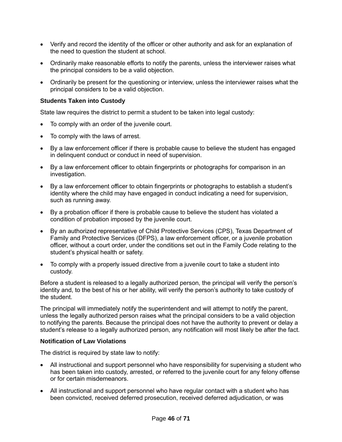- Verify and record the identity of the officer or other authority and ask for an explanation of the need to question the student at school.
- Ordinarily make reasonable efforts to notify the parents, unless the interviewer raises what the principal considers to be a valid objection.
- Ordinarily be present for the questioning or interview, unless the interviewer raises what the principal considers to be a valid objection.

## <span id="page-51-0"></span>**Students Taken into Custody**

State law requires the district to permit a student to be taken into legal custody:

- To comply with an order of the juvenile court.
- To comply with the laws of arrest.
- By a law enforcement officer if there is probable cause to believe the student has engaged in delinquent conduct or conduct in need of supervision.
- By a law enforcement officer to obtain fingerprints or photographs for comparison in an investigation.
- By a law enforcement officer to obtain fingerprints or photographs to establish a student's identity where the child may have engaged in conduct indicating a need for supervision, such as running away.
- By a probation officer if there is probable cause to believe the student has violated a condition of probation imposed by the juvenile court.
- By an authorized representative of Child Protective Services (CPS), Texas Department of Family and Protective Services (DFPS), a law enforcement officer, or a juvenile probation officer, without a court order, under the conditions set out in the Family Code relating to the student's physical health or safety.
- To comply with a properly issued directive from a juvenile court to take a student into custody.

Before a student is released to a legally authorized person, the principal will verify the person's identity and, to the best of his or her ability, will verify the person's authority to take custody of the student.

The principal will immediately notify the superintendent and will attempt to notify the parent, unless the legally authorized person raises what the principal considers to be a valid objection to notifying the parents. Because the principal does not have the authority to prevent or delay a student's release to a legally authorized person, any notification will most likely be after the fact.

### <span id="page-51-1"></span>**Notification of Law Violations**

The district is required by state law to notify:

- All instructional and support personnel who have responsibility for supervising a student who has been taken into custody, arrested, or referred to the juvenile court for any felony offense or for certain misdemeanors.
- All instructional and support personnel who have regular contact with a student who has been convicted, received deferred prosecution, received deferred adjudication, or was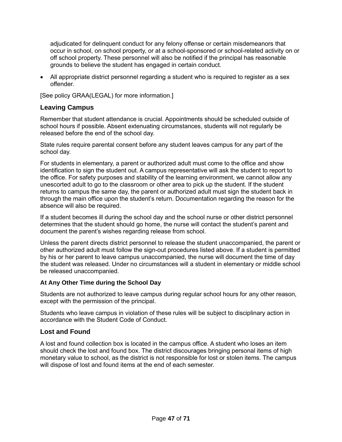adjudicated for delinquent conduct for any felony offense or certain misdemeanors that occur in school, on school property, or at a school-sponsored or school-related activity on or off school property. These personnel will also be notified if the principal has reasonable grounds to believe the student has engaged in certain conduct.

• All appropriate district personnel regarding a student who is required to register as a sex offender.

[See policy GRAA(LEGAL) for more information.]

# <span id="page-52-0"></span>**Leaving Campus**

Remember that student attendance is crucial. Appointments should be scheduled outside of school hours if possible. Absent extenuating circumstances, students will not regularly be released before the end of the school day.

State rules require parental consent before any student leaves campus for any part of the school day.

For students in elementary, a parent or authorized adult must come to the office and show identification to sign the student out. A campus representative will ask the student to report to the office. For safety purposes and stability of the learning environment, we cannot allow any unescorted adult to go to the classroom or other area to pick up the student. If the student returns to campus the same day, the parent or authorized adult must sign the student back in through the main office upon the student's return. Documentation regarding the reason for the absence will also be required.

If a student becomes ill during the school day and the school nurse or other district personnel determines that the student should go home, the nurse will contact the student's parent and document the parent's wishes regarding release from school.

Unless the parent directs district personnel to release the student unaccompanied, the parent or other authorized adult must follow the sign-out procedures listed above. If a student is permitted by his or her parent to leave campus unaccompanied, the nurse will document the time of day the student was released. Under no circumstances will a student in elementary or middle school be released unaccompanied.

# <span id="page-52-1"></span>**At Any Other Time during the School Day**

Students are not authorized to leave campus during regular school hours for any other reason, except with the permission of the principal.

Students who leave campus in violation of these rules will be subject to disciplinary action in accordance with the Student Code of Conduct.

# <span id="page-52-2"></span>**Lost and Found**

A lost and found collection box is located in the campus office. A student who loses an item should check the lost and found box. The district discourages bringing personal items of high monetary value to school, as the district is not responsible for lost or stolen items. The campus will dispose of lost and found items at the end of each semester.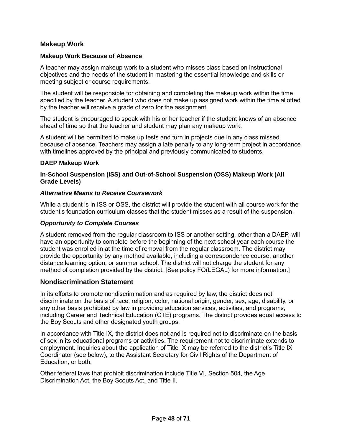# <span id="page-53-0"></span>**Makeup Work**

#### <span id="page-53-1"></span>**Makeup Work Because of Absence**

A teacher may assign makeup work to a student who misses class based on instructional objectives and the needs of the student in mastering the essential knowledge and skills or meeting subject or course requirements.

The student will be responsible for obtaining and completing the makeup work within the time specified by the teacher. A student who does not make up assigned work within the time allotted by the teacher will receive a grade of zero for the assignment.

The student is encouraged to speak with his or her teacher if the student knows of an absence ahead of time so that the teacher and student may plan any makeup work.

A student will be permitted to make up tests and turn in projects due in any class missed because of absence. Teachers may assign a late penalty to any long-term project in accordance with timelines approved by the principal and previously communicated to students.

#### <span id="page-53-2"></span>**DAEP Makeup Work**

#### <span id="page-53-3"></span>**In-School Suspension (ISS) and Out-of-School Suspension (OSS) Makeup Work (All Grade Levels)**

#### *Alternative Means to Receive Coursework*

While a student is in ISS or OSS, the district will provide the student with all course work for the student's foundation curriculum classes that the student misses as a result of the suspension.

#### *Opportunity to Complete Courses*

A student removed from the regular classroom to ISS or another setting, other than a DAEP, will have an opportunity to complete before the beginning of the next school year each course the student was enrolled in at the time of removal from the regular classroom. The district may provide the opportunity by any method available, including a correspondence course, another distance learning option, or summer school. The district will not charge the student for any method of completion provided by the district. [See policy FO(LEGAL) for more information.]

### <span id="page-53-4"></span>**Nondiscrimination Statement**

In its efforts to promote nondiscrimination and as required by law, the district does not discriminate on the basis of race, religion, color, national origin, gender, sex, age, disability, or any other basis prohibited by law in providing education services, activities, and programs, including Career and Technical Education (CTE) programs. The district provides equal access to the Boy Scouts and other designated youth groups.

In accordance with Title IX, the district does not and is required not to discriminate on the basis of sex in its educational programs or activities. The requirement not to discriminate extends to employment. Inquiries about the application of Title IX may be referred to the district's Title IX Coordinator (see below), to the Assistant Secretary for Civil Rights of the Department of Education, or both.

Other federal laws that prohibit discrimination include Title VI, Section 504, the Age Discrimination Act, the Boy Scouts Act, and Title II.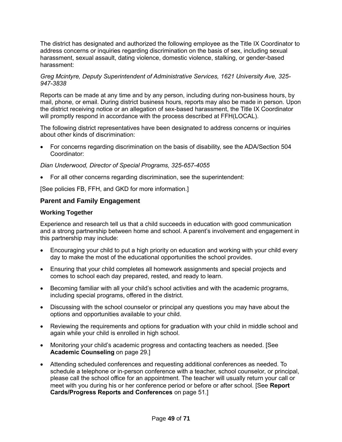The district has designated and authorized the following employee as the Title IX Coordinator to address concerns or inquiries regarding discrimination on the basis of sex, including sexual harassment, sexual assault, dating violence, domestic violence, stalking, or gender-based harassment:

#### *Greg Mcintyre, Deputy Superintendent of Administrative Services, 1621 University Ave, 325- 947-3838*

Reports can be made at any time and by any person, including during non-business hours, by mail, phone, or email. During district business hours, reports may also be made in person. Upon the district receiving notice or an allegation of sex-based harassment, the Title IX Coordinator will promptly respond in accordance with the process described at FFH(LOCAL).

The following district representatives have been designated to address concerns or inquiries about other kinds of discrimination:

• For concerns regarding discrimination on the basis of disability, see the ADA/Section 504 Coordinator:

#### *Dian Underwood, Director of Special Programs, 325-657-4055*

• For all other concerns regarding discrimination, see the superintendent:

[See policies FB, FFH, and GKD for more information.]

### <span id="page-54-0"></span>**Parent and Family Engagement**

#### <span id="page-54-1"></span>**Working Together**

Experience and research tell us that a child succeeds in education with good communication and a strong partnership between home and school. A parent's involvement and engagement in this partnership may include:

- Encouraging your child to put a high priority on education and working with your child every day to make the most of the educational opportunities the school provides.
- Ensuring that your child completes all homework assignments and special projects and comes to school each day prepared, rested, and ready to learn.
- Becoming familiar with all your child's school activities and with the academic programs, including special programs, offered in the district.
- Discussing with the school counselor or principal any questions you may have about the options and opportunities available to your child.
- Reviewing the requirements and options for graduation with your child in middle school and again while your child is enrolled in high school.
- Monitoring your child's academic progress and contacting teachers as needed. [See **Academic Counseling** on page [29.](#page-34-2)]
- Attending scheduled conferences and requesting additional conferences as needed. To schedule a telephone or in-person conference with a teacher, school counselor, or principal, please call the school office for an appointment. The teacher will usually return your call or meet with you during his or her conference period or before or after school. [See **Report Cards/Progress Reports and Conferences** on page [51.](#page-56-2)]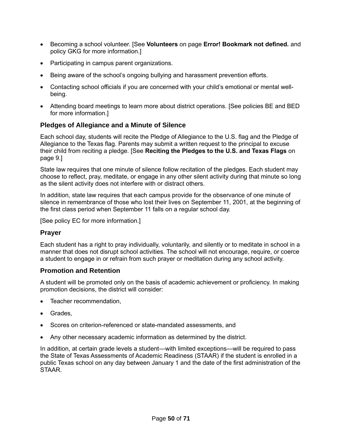- Becoming a school volunteer. [See **Volunteers** on page **Error! Bookmark not defined.** and policy GKG for more information.]
- Participating in campus parent organizations.
- Being aware of the school's ongoing bullying and harassment prevention efforts.
- Contacting school officials if you are concerned with your child's emotional or mental wellbeing.
- Attending board meetings to learn more about district operations. [See policies BE and BED for more information.]

# <span id="page-55-0"></span>**Pledges of Allegiance and a Minute of Silence**

Each school day, students will recite the Pledge of Allegiance to the U.S. flag and the Pledge of Allegiance to the Texas flag. Parents may submit a written request to the principal to excuse their child from reciting a pledge. [See **Reciting the Pledges to the U.S. and Texas Flags** on page [9.](#page-14-1)]

State law requires that one minute of silence follow recitation of the pledges. Each student may choose to reflect, pray, meditate, or engage in any other silent activity during that minute so long as the silent activity does not interfere with or distract others.

In addition, state law requires that each campus provide for the observance of one minute of silence in remembrance of those who lost their lives on September 11, 2001, at the beginning of the first class period when September 11 falls on a regular school day.

[See policy EC for more information.]

### <span id="page-55-1"></span>**Prayer**

Each student has a right to pray individually, voluntarily, and silently or to meditate in school in a manner that does not disrupt school activities. The school will not encourage, require, or coerce a student to engage in or refrain from such prayer or meditation during any school activity.

### <span id="page-55-2"></span>**Promotion and Retention**

A student will be promoted only on the basis of academic achievement or proficiency. In making promotion decisions, the district will consider:

- Teacher recommendation,
- Grades,
- Scores on criterion-referenced or state-mandated assessments, and
- Any other necessary academic information as determined by the district.

In addition, at certain grade levels a student—with limited exceptions—will be required to pass the State of Texas Assessments of Academic Readiness (STAAR) if the student is enrolled in a public Texas school on any day between January 1 and the date of the first administration of the STAAR.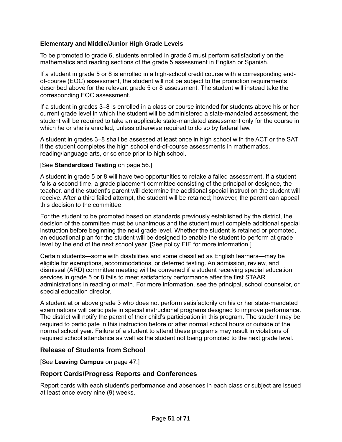# <span id="page-56-0"></span>**Elementary and Middle/Junior High Grade Levels**

To be promoted to grade 6, students enrolled in grade 5 must perform satisfactorily on the mathematics and reading sections of the grade 5 assessment in English or Spanish.

If a student in grade 5 or 8 is enrolled in a high-school credit course with a corresponding endof-course (EOC) assessment, the student will not be subject to the promotion requirements described above for the relevant grade 5 or 8 assessment. The student will instead take the corresponding EOC assessment.

If a student in grades 3–8 is enrolled in a class or course intended for students above his or her current grade level in which the student will be administered a state-mandated assessment, the student will be required to take an applicable state-mandated assessment only for the course in which he or she is enrolled, unless otherwise required to do so by federal law.

A student in grades 3–8 shall be assessed at least once in high school with the ACT or the SAT if the student completes the high school end-of-course assessments in mathematics, reading/language arts, or science prior to high school.

#### [See **Standardized Testing** on page [56.](#page-61-4)]

A student in grade 5 or 8 will have two opportunities to retake a failed assessment. If a student fails a second time, a grade placement committee consisting of the principal or designee, the teacher, and the student's parent will determine the additional special instruction the student will receive. After a third failed attempt, the student will be retained; however, the parent can appeal this decision to the committee.

For the student to be promoted based on standards previously established by the district, the decision of the committee must be unanimous and the student must complete additional special instruction before beginning the next grade level. Whether the student is retained or promoted, an educational plan for the student will be designed to enable the student to perform at grade level by the end of the next school year. [See policy EIE for more information.]

Certain students—some with disabilities and some classified as English learners—may be eligible for exemptions, accommodations, or deferred testing. An admission, review, and dismissal (ARD) committee meeting will be convened if a student receiving special education services in grade 5 or 8 fails to meet satisfactory performance after the first STAAR administrations in reading or math. For more information, see the principal, school counselor, or special education director.

A student at or above grade 3 who does not perform satisfactorily on his or her state-mandated examinations will participate in special instructional programs designed to improve performance. The district will notify the parent of their child's participation in this program. The student may be required to participate in this instruction before or after normal school hours or outside of the normal school year. Failure of a student to attend these programs may result in violations of required school attendance as well as the student not being promoted to the next grade level.

### <span id="page-56-1"></span>**Release of Students from School**

[See **Leaving Campus** on page [47.](#page-52-0)]

### <span id="page-56-2"></span>**Report Cards/Progress Reports and Conferences**

Report cards with each student's performance and absences in each class or subject are issued at least once every nine (9) weeks.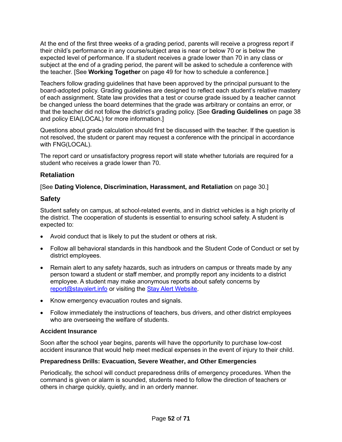At the end of the first three weeks of a grading period, parents will receive a progress report if their child's performance in any course/subject area is near or below 70 or is below the expected level of performance. If a student receives a grade lower than 70 in any class or subject at the end of a grading period, the parent will be asked to schedule a conference with the teacher. [See **Working Together** on page [49](#page-54-1) for how to schedule a conference.]

Teachers follow grading guidelines that have been approved by the principal pursuant to the board-adopted policy. Grading guidelines are designed to reflect each student's relative mastery of each assignment. State law provides that a test or course grade issued by a teacher cannot be changed unless the board determines that the grade was arbitrary or contains an error, or that the teacher did not follow the district's grading policy. [See **Grading Guidelines** on page [38](#page-43-3) and policy EIA(LOCAL) for more information.]

Questions about grade calculation should first be discussed with the teacher. If the question is not resolved, the student or parent may request a conference with the principal in accordance with FNG(LOCAL).

The report card or unsatisfactory progress report will state whether tutorials are required for a student who receives a grade lower than 70.

# <span id="page-57-0"></span>**Retaliation**

# [See **Dating Violence, Discrimination, Harassment, and Retaliation** on page [30.](#page-35-1)]

# <span id="page-57-1"></span>**Safety**

Student safety on campus, at school-related events, and in district vehicles is a high priority of the district. The cooperation of students is essential to ensuring school safety. A student is expected to:

- Avoid conduct that is likely to put the student or others at risk.
- Follow all behavioral standards in this handbook and the Student Code of Conduct or set by district employees.
- Remain alert to any safety hazards, such as intruders on campus or threats made by any person toward a student or staff member, and promptly report any incidents to a district employee. A student may make anonymous reports about safety concerns by [report@stayalert.info](mailto:report@stayalert.info) or visiting the [Stay Alert Website.](https://www.stayalert.info/)
- Know emergency evacuation routes and signals.
- Follow immediately the instructions of teachers, bus drivers, and other district employees who are overseeing the welfare of students.

# <span id="page-57-2"></span>**Accident Insurance**

Soon after the school year begins, parents will have the opportunity to purchase low-cost accident insurance that would help meet medical expenses in the event of injury to their child.

### <span id="page-57-3"></span>**Preparedness Drills: Evacuation, Severe Weather, and Other Emergencies**

Periodically, the school will conduct preparedness drills of emergency procedures. When the command is given or alarm is sounded, students need to follow the direction of teachers or others in charge quickly, quietly, and in an orderly manner.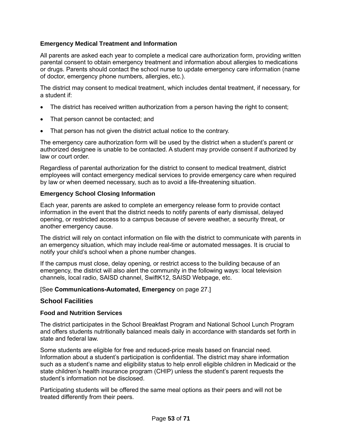# <span id="page-58-0"></span>**Emergency Medical Treatment and Information**

All parents are asked each year to complete a medical care authorization form, providing written parental consent to obtain emergency treatment and information about allergies to medications or drugs. Parents should contact the school nurse to update emergency care information (name of doctor, emergency phone numbers, allergies, etc.).

The district may consent to medical treatment, which includes dental treatment, if necessary, for a student if:

- The district has received written authorization from a person having the right to consent;
- That person cannot be contacted; and
- That person has not given the district actual notice to the contrary.

The emergency care authorization form will be used by the district when a student's parent or authorized designee is unable to be contacted. A student may provide consent if authorized by law or court order.

Regardless of parental authorization for the district to consent to medical treatment, district employees will contact emergency medical services to provide emergency care when required by law or when deemed necessary, such as to avoid a life-threatening situation.

### <span id="page-58-1"></span>**Emergency School Closing Information**

Each year, parents are asked to complete an emergency release form to provide contact information in the event that the district needs to notify parents of early dismissal, delayed opening, or restricted access to a campus because of severe weather, a security threat, or another emergency cause.

The district will rely on contact information on file with the district to communicate with parents in an emergency situation, which may include real-time or automated messages. It is crucial to notify your child's school when a phone number changes.

If the campus must close, delay opening, or restrict access to the building because of an emergency, the district will also alert the community in the following ways: local television channels, local radio, SAISD channel, SwiftK12, SAISD Webpage, etc.

### [See **Communications-Automated, Emergency** on page [27.](#page-32-1)]

### <span id="page-58-2"></span>**School Facilities**

### <span id="page-58-3"></span>**Food and Nutrition Services**

The district participates in the School Breakfast Program and National School Lunch Program and offers students nutritionally balanced meals daily in accordance with standards set forth in state and federal law.

Some students are eligible for free and reduced-price meals based on financial need. Information about a student's participation is confidential. The district may share information such as a student's name and eligibility status to help enroll eligible children in Medicaid or the state children's health insurance program (CHIP) unless the student's parent requests the student's information not be disclosed.

Participating students will be offered the same meal options as their peers and will not be treated differently from their peers.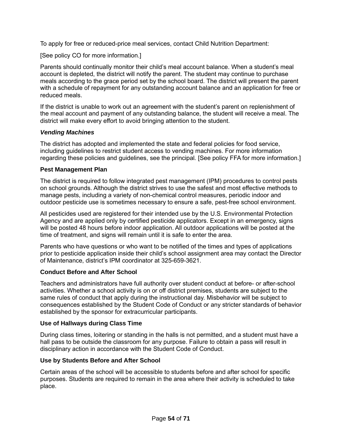To apply for free or reduced-price meal services, contact Child Nutrition Department:

[See policy CO for more information.]

Parents should continually monitor their child's meal account balance. When a student's meal account is depleted, the district will notify the parent. The student may continue to purchase meals according to the grace period set by the school board. The district will present the parent with a schedule of repayment for any outstanding account balance and an application for free or reduced meals.

If the district is unable to work out an agreement with the student's parent on replenishment of the meal account and payment of any outstanding balance, the student will receive a meal. The district will make every effort to avoid bringing attention to the student.

# *Vending Machines*

The district has adopted and implemented the state and federal policies for food service, including guidelines to restrict student access to vending machines. For more information regarding these policies and guidelines, see the principal*.* [See policy FFA for more information.]

### <span id="page-59-0"></span>**Pest Management Plan**

The district is required to follow integrated pest management (IPM) procedures to control pests on school grounds. Although the district strives to use the safest and most effective methods to manage pests, including a variety of non-chemical control measures, periodic indoor and outdoor pesticide use is sometimes necessary to ensure a safe, pest-free school environment.

All pesticides used are registered for their intended use by the U.S. Environmental Protection Agency and are applied only by certified pesticide applicators. Except in an emergency, signs will be posted 48 hours before indoor application. All outdoor applications will be posted at the time of treatment, and signs will remain until it is safe to enter the area.

Parents who have questions or who want to be notified of the times and types of applications prior to pesticide application inside their child's school assignment area may contact the Director of Maintenance, district's IPM coordinator at 325-659-3621.

# <span id="page-59-1"></span>**Conduct Before and After School**

Teachers and administrators have full authority over student conduct at before- or after-school activities. Whether a school activity is on or off district premises, students are subject to the same rules of conduct that apply during the instructional day. Misbehavior will be subject to consequences established by the Student Code of Conduct or any stricter standards of behavior established by the sponsor for extracurricular participants.

# <span id="page-59-2"></span>**Use of Hallways during Class Time**

During class times, loitering or standing in the halls is not permitted, and a student must have a hall pass to be outside the classroom for any purpose. Failure to obtain a pass will result in disciplinary action in accordance with the Student Code of Conduct.

# <span id="page-59-3"></span>**Use by Students Before and After School**

Certain areas of the school will be accessible to students before and after school for specific purposes. Students are required to remain in the area where their activity is scheduled to take place.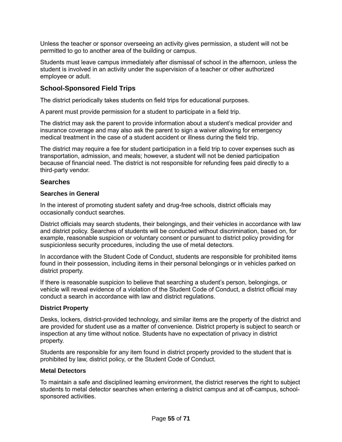Unless the teacher or sponsor overseeing an activity gives permission, a student will not be permitted to go to another area of the building or campus.

Students must leave campus immediately after dismissal of school in the afternoon, unless the student is involved in an activity under the supervision of a teacher or other authorized employee or adult.

# <span id="page-60-0"></span>**School-Sponsored Field Trips**

The district periodically takes students on field trips for educational purposes.

A parent must provide permission for a student to participate in a field trip.

The district may ask the parent to provide information about a student's medical provider and insurance coverage and may also ask the parent to sign a waiver allowing for emergency medical treatment in the case of a student accident or illness during the field trip.

The district may require a fee for student participation in a field trip to cover expenses such as transportation, admission, and meals; however, a student will not be denied participation because of financial need. The district is not responsible for refunding fees paid directly to a third-party vendor.

# <span id="page-60-1"></span>**Searches**

## <span id="page-60-2"></span>**Searches in General**

In the interest of promoting student safety and drug-free schools, district officials may occasionally conduct searches.

District officials may search students, their belongings, and their vehicles in accordance with law and district policy. Searches of students will be conducted without discrimination, based on, for example, reasonable suspicion or voluntary consent or pursuant to district policy providing for suspicionless security procedures, including the use of metal detectors.

In accordance with the Student Code of Conduct, students are responsible for prohibited items found in their possession, including items in their personal belongings or in vehicles parked on district property.

If there is reasonable suspicion to believe that searching a student's person, belongings, or vehicle will reveal evidence of a violation of the Student Code of Conduct, a district official may conduct a search in accordance with law and district regulations.

### <span id="page-60-3"></span>**District Property**

Desks, lockers, district-provided technology, and similar items are the property of the district and are provided for student use as a matter of convenience. District property is subject to search or inspection at any time without notice. Students have no expectation of privacy in district property.

Students are responsible for any item found in district property provided to the student that is prohibited by law, district policy, or the Student Code of Conduct.

#### <span id="page-60-4"></span>**Metal Detectors**

To maintain a safe and disciplined learning environment, the district reserves the right to subject students to metal detector searches when entering a district campus and at off-campus, schoolsponsored activities.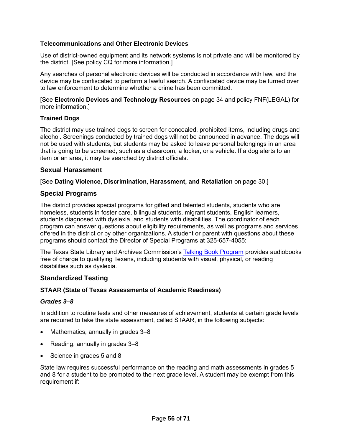# <span id="page-61-0"></span>**Telecommunications and Other Electronic Devices**

Use of district-owned equipment and its network systems is not private and will be monitored by the district. [See policy CQ for more information.]

Any searches of personal electronic devices will be conducted in accordance with law, and the device may be confiscated to perform a lawful search. A confiscated device may be turned over to law enforcement to determine whether a crime has been committed.

[See **Electronic Devices and Technology Resources** on page [34](#page-39-3) and policy FNF(LEGAL) for more information.]

#### <span id="page-61-1"></span>**Trained Dogs**

The district may use trained dogs to screen for concealed, prohibited items, including drugs and alcohol. Screenings conducted by trained dogs will not be announced in advance. The dogs will not be used with students, but students may be asked to leave personal belongings in an area that is going to be screened, such as a classroom, a locker, or a vehicle. If a dog alerts to an item or an area, it may be searched by district officials.

### <span id="page-61-2"></span>**Sexual Harassment**

[See **Dating Violence, Discrimination, Harassment, and Retaliation** on page [30.](#page-35-1)]

### <span id="page-61-3"></span>**Special Programs**

The district provides special programs for gifted and talented students, students who are homeless, students in foster care, bilingual students, migrant students, English learners, students diagnosed with dyslexia, and students with disabilities. The coordinator of each program can answer questions about eligibility requirements, as well as programs and services offered in the district or by other organizations. A student or parent with questions about these programs should contact the Director of Special Programs at 325-657-4055:

The Texas State Library and Archives Commission's Talking [Book Program](https://www.tsl.texas.gov/tbp/index.html) provides audiobooks free of charge to qualifying Texans, including students with visual, physical, or reading disabilities such as dyslexia.

### <span id="page-61-4"></span>**Standardized Testing**

### <span id="page-61-5"></span>**STAAR (State of Texas Assessments of Academic Readiness)**

#### *Grades 3–8*

In addition to routine tests and other measures of achievement, students at certain grade levels are required to take the state assessment, called STAAR, in the following subjects:

- Mathematics, annually in grades 3-8
- Reading, annually in grades 3–8
- Science in grades 5 and 8

State law requires successful performance on the reading and math assessments in grades 5 and 8 for a student to be promoted to the next grade level. A student may be exempt from this requirement if: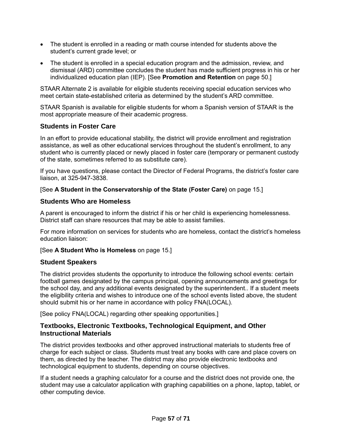- The student is enrolled in a reading or math course intended for students above the student's current grade level; or
- The student is enrolled in a special education program and the admission, review, and dismissal (ARD) committee concludes the student has made sufficient progress in his or her individualized education plan (IEP). [See **Promotion and Retention** on page [50.](#page-55-2)]

STAAR Alternate 2 is available for eligible students receiving special education services who meet certain state-established criteria as determined by the student's ARD committee.

STAAR Spanish is available for eligible students for whom a Spanish version of STAAR is the most appropriate measure of their academic progress.

# <span id="page-62-0"></span>**Students in Foster Care**

In an effort to provide educational stability, the district will provide enrollment and registration assistance, as well as other educational services throughout the student's enrollment, to any student who is currently placed or newly placed in foster care (temporary or permanent custody of the state, sometimes referred to as substitute care).

If you have questions, please contact the Director of Federal Programs, the district's foster care liaison, at 325-947-3838.

# [See **A Student in the Conservatorship of the State (Foster Care)** on page [15.](#page-20-1)]

# <span id="page-62-1"></span>**Students Who are Homeless**

A parent is encouraged to inform the district if his or her child is experiencing homelessness. District staff can share resources that may be able to assist families.

For more information on services for students who are homeless, contact the district's homeless education liaison:

### [See **A Student Who is Homeless** on page [15.](#page-20-2)]

# <span id="page-62-2"></span>**Student Speakers**

The district provides students the opportunity to introduce the following school events: certain football games designated by the campus principal, opening announcements and greetings for the school day, and any additional events designated by the superintendent.*.* If a student meets the eligibility criteria and wishes to introduce one of the school events listed above, the student should submit his or her name in accordance with policy FNA(LOCAL).

[See policy FNA(LOCAL) regarding other speaking opportunities.]

# <span id="page-62-3"></span>**Textbooks, Electronic Textbooks, Technological Equipment, and Other Instructional Materials**

The district provides textbooks and other approved instructional materials to students free of charge for each subject or class. Students must treat any books with care and place covers on them, as directed by the teacher. The district may also provide electronic textbooks and technological equipment to students, depending on course objectives.

If a student needs a graphing calculator for a course and the district does not provide one, the student may use a calculator application with graphing capabilities on a phone, laptop, tablet, or other computing device.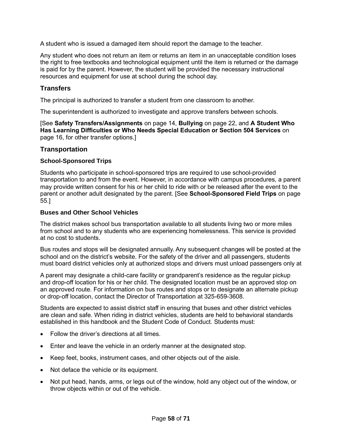A student who is issued a damaged item should report the damage to the teacher.

Any student who does not return an item or returns an item in an unacceptable condition loses the right to free textbooks and technological equipment until the item is returned or the damage is paid for by the parent. However, the student will be provided the necessary instructional resources and equipment for use at school during the school day.

# <span id="page-63-0"></span>**Transfers**

The principal is authorized to transfer a student from one classroom to another.

The superintendent is authorized to investigate and approve transfers between schools.

[See **Safety Transfers/Assignments** on page [14,](#page-19-3) **Bullying** on page [22,](#page-27-2) and **A Student Who Has Learning Difficulties or Who Needs Special Education or Section 504 Services** on page [16,](#page-21-0) for other transfer options.]

#### <span id="page-63-1"></span>**Transportation**

#### <span id="page-63-2"></span>**School-Sponsored Trips**

Students who participate in school-sponsored trips are required to use school-provided transportation to and from the event. However, in accordance with campus procedures, a parent may provide written consent for his or her child to ride with or be released after the event to the parent or another adult designated by the parent. [See **School-Sponsored Field Trips** on page [55.](#page-60-0)]

#### <span id="page-63-3"></span>**Buses and Other School Vehicles**

The district makes school bus transportation available to all students living two or more miles from school and to any students who are experiencing homelessness. This service is provided at no cost to students.

Bus routes and stops will be designated annually. Any subsequent changes will be posted at the school and on the district's website. For the safety of the driver and all passengers, students must board district vehicles only at authorized stops and drivers must unload passengers only at

A parent may designate a child-care facility or grandparent's residence as the regular pickup and drop-off location for his or her child. The designated location must be an approved stop on an approved route. For information on bus routes and stops or to designate an alternate pickup or drop-off location, contact the Director of Transportation at 325-659-3608.

Students are expected to assist district staff in ensuring that buses and other district vehicles are clean and safe. When riding in district vehicles, students are held to behavioral standards established in this handbook and the Student Code of Conduct. Students must:

- Follow the driver's directions at all times.
- Enter and leave the vehicle in an orderly manner at the designated stop.
- Keep feet, books, instrument cases, and other objects out of the aisle.
- Not deface the vehicle or its equipment.
- Not put head, hands, arms, or legs out of the window, hold any object out of the window, or throw objects within or out of the vehicle.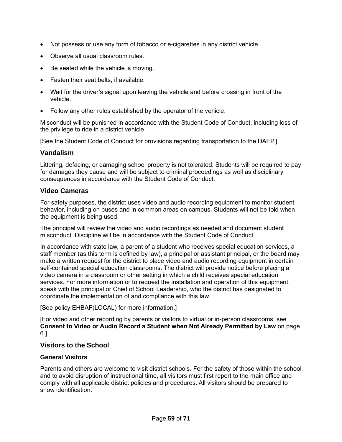- Not possess or use any form of tobacco or e-cigarettes in any district vehicle.
- Observe all usual classroom rules.
- Be seated while the vehicle is moving.
- Fasten their seat belts, if available.
- Wait for the driver's signal upon leaving the vehicle and before crossing in front of the vehicle.
- Follow any other rules established by the operator of the vehicle.

Misconduct will be punished in accordance with the Student Code of Conduct, including loss of the privilege to ride in a district vehicle.

[See the Student Code of Conduct for provisions regarding transportation to the DAEP.]

# <span id="page-64-0"></span>**Vandalism**

Littering, defacing, or damaging school property is not tolerated. Students will be required to pay for damages they cause and will be subject to criminal proceedings as well as disciplinary consequences in accordance with the Student Code of Conduct.

### <span id="page-64-1"></span>**Video Cameras**

For safety purposes, the district uses video and audio recording equipment to monitor student behavior, including on buses and in common areas on campus. Students will not be told when the equipment is being used.

The principal will review the video and audio recordings as needed and document student misconduct. Discipline will be in accordance with the Student Code of Conduct.

In accordance with state law, a parent of a student who receives special education services, a staff member (as this term is defined by law), a principal or assistant principal, or the board may make a written request for the district to place video and audio recording equipment in certain self-contained special education classrooms. The district will provide notice before placing a video camera in a classroom or other setting in which a child receives special education services. For more information or to request the installation and operation of this equipment, speak with the principal or Chief of School Leadership, who the district has designated to coordinate the implementation of and compliance with this law.

[See policy EHBAF(LOCAL) for more information.]

[For video and other recording by parents or visitors to virtual or in-person classrooms, see **[Consent to Video or Audio Record a Student when Not Already Permitted by Law](#page-11-0)** on page [6.](#page-11-0)]

### <span id="page-64-2"></span>**Visitors to the School**

### <span id="page-64-3"></span>**General Visitors**

Parents and others are welcome to visit district schools. For the safety of those within the school and to avoid disruption of instructional time, all visitors must first report to the main office and comply with all applicable district policies and procedures. All visitors should be prepared to show identification.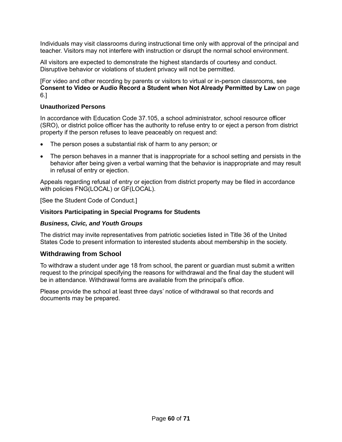Individuals may visit classrooms during instructional time only with approval of the principal and teacher. Visitors may not interfere with instruction or disrupt the normal school environment.

All visitors are expected to demonstrate the highest standards of courtesy and conduct. Disruptive behavior or violations of student privacy will not be permitted.

[For video and other recording by parents or visitors to virtual or in-person classrooms, see **[Consent to Video or Audio Record a Student when Not Already Permitted by Law](#page-11-0)** on page [6.](#page-11-0)]

#### <span id="page-65-0"></span>**Unauthorized Persons**

In accordance with Education Code 37.105, a school administrator, school resource officer (SRO), or district police officer has the authority to refuse entry to or eject a person from district property if the person refuses to leave peaceably on request and:

- The person poses a substantial risk of harm to any person; or
- The person behaves in a manner that is inappropriate for a school setting and persists in the behavior after being given a verbal warning that the behavior is inappropriate and may result in refusal of entry or ejection.

Appeals regarding refusal of entry or ejection from district property may be filed in accordance with policies FNG(LOCAL) or GF(LOCAL).

[See the Student Code of Conduct.]

#### <span id="page-65-1"></span>**Visitors Participating in Special Programs for Students**

#### *Business, Civic, and Youth Groups*

The district may invite representatives from patriotic societies listed in Title 36 of the United States Code to present information to interested students about membership in the society.

### <span id="page-65-2"></span>**Withdrawing from School**

To withdraw a student under age 18 from school, the parent or guardian must submit a written request to the principal specifying the reasons for withdrawal and the final day the student will be in attendance. Withdrawal forms are available from the principal's office.

Please provide the school at least three days' notice of withdrawal so that records and documents may be prepared.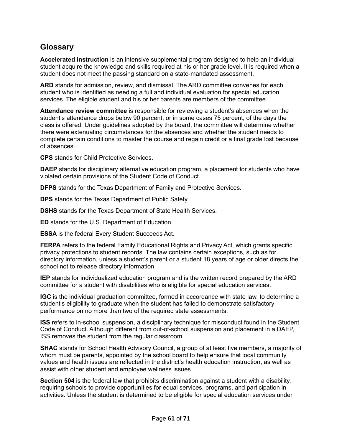# <span id="page-66-0"></span>**Glossary**

**Accelerated instruction** is an intensive supplemental program designed to help an individual student acquire the knowledge and skills required at his or her grade level. It is required when a student does not meet the passing standard on a state-mandated assessment.

**ARD** stands for admission, review, and dismissal. The ARD committee convenes for each student who is identified as needing a full and individual evaluation for special education services. The eligible student and his or her parents are members of the committee.

**Attendance review committee** is responsible for reviewing a student's absences when the student's attendance drops below 90 percent, or in some cases 75 percent, of the days the class is offered. Under guidelines adopted by the board, the committee will determine whether there were extenuating circumstances for the absences and whether the student needs to complete certain conditions to master the course and regain credit or a final grade lost because of absences.

**CPS** stands for Child Protective Services.

**DAEP** stands for disciplinary alternative education program, a placement for students who have violated certain provisions of the Student Code of Conduct.

**DFPS** stands for the Texas Department of Family and Protective Services.

**DPS** stands for the Texas Department of Public Safety.

**DSHS** stands for the Texas Department of State Health Services.

**ED** stands for the U.S. Department of Education.

**ESSA** is the federal Every Student Succeeds Act.

**FERPA** refers to the federal Family Educational Rights and Privacy Act, which grants specific privacy protections to student records. The law contains certain exceptions, such as for directory information, unless a student's parent or a student 18 years of age or older directs the school not to release directory information.

**IEP** stands for individualized education program and is the written record prepared by the ARD committee for a student with disabilities who is eligible for special education services.

**IGC** is the individual graduation committee, formed in accordance with state law, to determine a student's eligibility to graduate when the student has failed to demonstrate satisfactory performance on no more than two of the required state assessments.

**ISS** refers to in-school suspension, a disciplinary technique for misconduct found in the Student Code of Conduct. Although different from out-of-school suspension and placement in a DAEP, ISS removes the student from the regular classroom.

**SHAC** stands for School Health Advisory Council, a group of at least five members, a majority of whom must be parents, appointed by the school board to help ensure that local community values and health issues are reflected in the district's health education instruction, as well as assist with other student and employee wellness issues.

**Section 504** is the federal law that prohibits discrimination against a student with a disability, requiring schools to provide opportunities for equal services, programs, and participation in activities. Unless the student is determined to be eligible for special education services under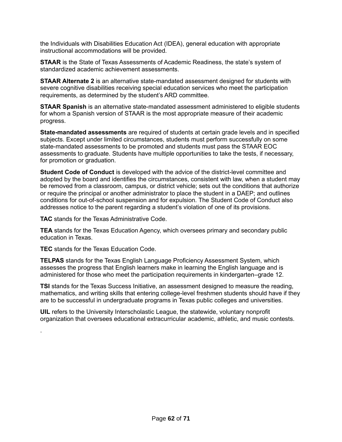the Individuals with Disabilities Education Act (IDEA), general education with appropriate instructional accommodations will be provided.

**STAAR** is the State of Texas Assessments of Academic Readiness, the state's system of standardized academic achievement assessments.

**STAAR Alternate 2** is an alternative state-mandated assessment designed for students with severe cognitive disabilities receiving special education services who meet the participation requirements, as determined by the student's ARD committee.

**STAAR Spanish** is an alternative state-mandated assessment administered to eligible students for whom a Spanish version of STAAR is the most appropriate measure of their academic progress.

**State-mandated assessments** are required of students at certain grade levels and in specified subjects. Except under limited circumstances, students must perform successfully on some state-mandated assessments to be promoted and students must pass the STAAR EOC assessments to graduate. Students have multiple opportunities to take the tests, if necessary, for promotion or graduation.

**Student Code of Conduct** is developed with the advice of the district-level committee and adopted by the board and identifies the circumstances, consistent with law, when a student may be removed from a classroom, campus, or district vehicle; sets out the conditions that authorize or require the principal or another administrator to place the student in a DAEP; and outlines conditions for out-of-school suspension and for expulsion. The Student Code of Conduct also addresses notice to the parent regarding a student's violation of one of its provisions.

**TAC** stands for the Texas Administrative Code.

**TEA** stands for the Texas Education Agency, which oversees primary and secondary public education in Texas.

**TEC** stands for the Texas Education Code.

.

**TELPAS** stands for the Texas English Language Proficiency Assessment System, which assesses the progress that English learners make in learning the English language and is administered for those who meet the participation requirements in kindergarten–grade 12.

**TSI** stands for the Texas Success Initiative, an assessment designed to measure the reading, mathematics, and writing skills that entering college-level freshmen students should have if they are to be successful in undergraduate programs in Texas public colleges and universities.

**UIL** refers to the University Interscholastic League, the statewide, voluntary nonprofit organization that oversees educational extracurricular academic, athletic, and music contests.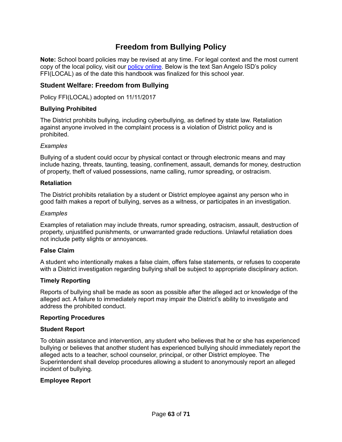# **Freedom from Bullying Policy**

<span id="page-68-0"></span>**Note:** School board policies may be revised at any time. For legal context and the most current copy of the local policy, visit our [policy online.](https://pol.tasb.org/Home/Index/1139) Below is the text San Angelo ISD's policy FFI(LOCAL) as of the date this handbook was finalized for this school year.

# <span id="page-68-1"></span>**Student Welfare: Freedom from Bullying**

Policy FFI(LOCAL) adopted on 11/11/2017

#### **Bullying Prohibited**

The District prohibits bullying, including cyberbullying, as defined by state law. Retaliation against anyone involved in the complaint process is a violation of District policy and is prohibited.

#### *Examples*

Bullying of a student could occur by physical contact or through electronic means and may include hazing, threats, taunting, teasing, confinement, assault, demands for money, destruction of property, theft of valued possessions, name calling, rumor spreading, or ostracism.

#### **Retaliation**

The District prohibits retaliation by a student or District employee against any person who in good faith makes a report of bullying, serves as a witness, or participates in an investigation.

#### *Examples*

Examples of retaliation may include threats, rumor spreading, ostracism, assault, destruction of property, unjustified punishments, or unwarranted grade reductions. Unlawful retaliation does not include petty slights or annoyances.

#### **False Claim**

A student who intentionally makes a false claim, offers false statements, or refuses to cooperate with a District investigation regarding bullying shall be subject to appropriate disciplinary action.

### **Timely Reporting**

Reports of bullying shall be made as soon as possible after the alleged act or knowledge of the alleged act. A failure to immediately report may impair the District's ability to investigate and address the prohibited conduct.

#### **Reporting Procedures**

#### **Student Report**

To obtain assistance and intervention, any student who believes that he or she has experienced bullying or believes that another student has experienced bullying should immediately report the alleged acts to a teacher, school counselor, principal, or other District employee. The Superintendent shall develop procedures allowing a student to anonymously report an alleged incident of bullying.

#### **Employee Report**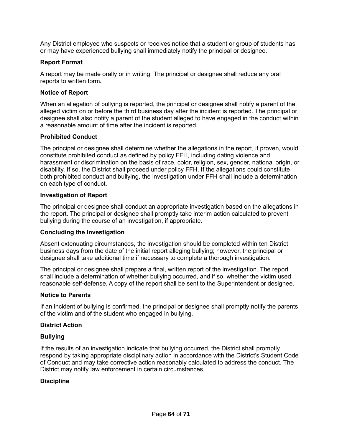Any District employee who suspects or receives notice that a student or group of students has or may have experienced bullying shall immediately notify the principal or designee.

### **Report Format**

A report may be made orally or in writing. The principal or designee shall reduce any oral reports to written form**.**

#### **Notice of Report**

When an allegation of bullying is reported, the principal or designee shall notify a parent of the alleged victim on or before the third business day after the incident is reported. The principal or designee shall also notify a parent of the student alleged to have engaged in the conduct within a reasonable amount of time after the incident is reported.

#### **Prohibited Conduct**

The principal or designee shall determine whether the allegations in the report, if proven, would constitute prohibited conduct as defined by policy FFH, including dating violence and harassment or discrimination on the basis of race, color, religion, sex, gender, national origin, or disability. If so, the District shall proceed under policy FFH. If the allegations could constitute both prohibited conduct and bullying, the investigation under FFH shall include a determination on each type of conduct.

#### **Investigation of Report**

The principal or designee shall conduct an appropriate investigation based on the allegations in the report. The principal or designee shall promptly take interim action calculated to prevent bullying during the course of an investigation, if appropriate.

### **Concluding the Investigation**

Absent extenuating circumstances, the investigation should be completed within ten District business days from the date of the initial report alleging bullying; however, the principal or designee shall take additional time if necessary to complete a thorough investigation.

The principal or designee shall prepare a final, written report of the investigation. The report shall include a determination of whether bullying occurred, and if so, whether the victim used reasonable self-defense. A copy of the report shall be sent to the Superintendent or designee.

#### **Notice to Parents**

If an incident of bullying is confirmed, the principal or designee shall promptly notify the parents of the victim and of the student who engaged in bullying.

#### **District Action**

#### **Bullying**

If the results of an investigation indicate that bullying occurred, the District shall promptly respond by taking appropriate disciplinary action in accordance with the District's Student Code of Conduct and may take corrective action reasonably calculated to address the conduct. The District may notify law enforcement in certain circumstances.

### **Discipline**